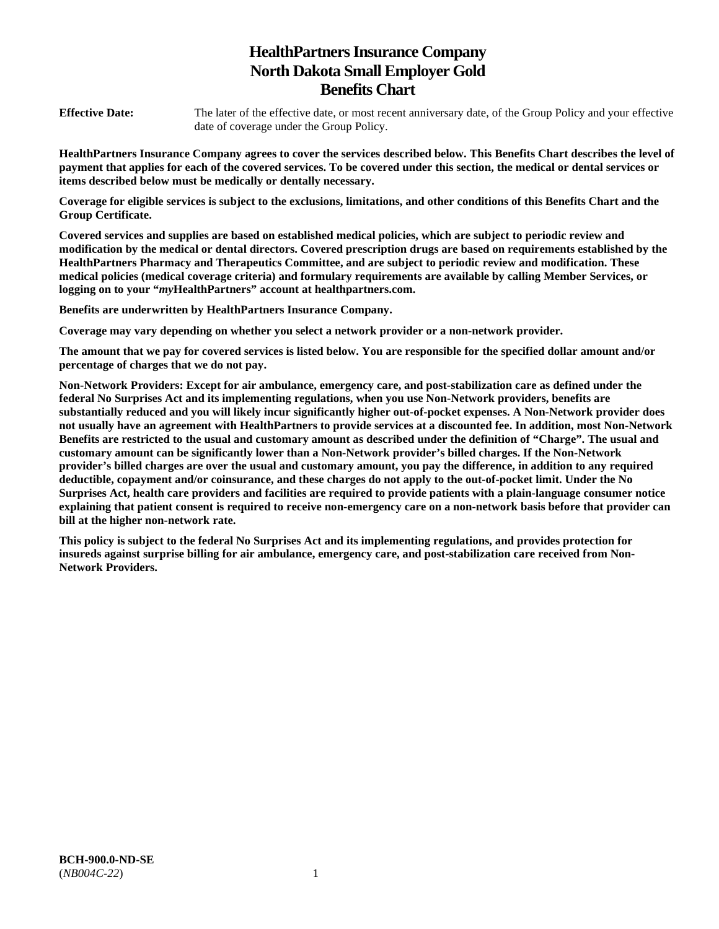# **HealthPartners Insurance Company North Dakota Small Employer Gold Benefits Chart**

**Effective Date:** The later of the effective date, or most recent anniversary date, of the Group Policy and your effective date of coverage under the Group Policy.

**HealthPartners Insurance Company agrees to cover the services described below. This Benefits Chart describes the level of payment that applies for each of the covered services. To be covered under this section, the medical or dental services or items described below must be medically or dentally necessary.** 

**Coverage for eligible services is subject to the exclusions, limitations, and other conditions of this Benefits Chart and the Group Certificate.** 

**Covered services and supplies are based on established medical policies, which are subject to periodic review and modification by the medical or dental directors. Covered prescription drugs are based on requirements established by the HealthPartners Pharmacy and Therapeutics Committee, and are subject to periodic review and modification. These medical policies (medical coverage criteria) and formulary requirements are available by calling Member Services, or logging on to your "***my***HealthPartners" account at [healthpartners.com.](http://healthpartners.com/)** 

**Benefits are underwritten by HealthPartners Insurance Company.** 

**Coverage may vary depending on whether you select a network provider or a non-network provider.** 

**The amount that we pay for covered services is listed below. You are responsible for the specified dollar amount and/or percentage of charges that we do not pay.** 

**Non-Network Providers: Except for air ambulance, emergency care, and post-stabilization care as defined under the federal No Surprises Act and its implementing regulations, when you use Non-Network providers, benefits are substantially reduced and you will likely incur significantly higher out-of-pocket expenses. A Non-Network provider does not usually have an agreement with HealthPartners to provide services at a discounted fee. In addition, most Non-Network Benefits are restricted to the usual and customary amount as described under the definition of "Charge". The usual and customary amount can be significantly lower than a Non-Network provider's billed charges. If the Non-Network provider's billed charges are over the usual and customary amount, you pay the difference, in addition to any required deductible, copayment and/or coinsurance, and these charges do not apply to the out-of-pocket limit. Under the No Surprises Act, health care providers and facilities are required to provide patients with a plain-language consumer notice explaining that patient consent is required to receive non-emergency care on a non-network basis before that provider can bill at the higher non-network rate.** 

**This policy is subject to the federal No Surprises Act and its implementing regulations, and provides protection for insureds against surprise billing for air ambulance, emergency care, and post-stabilization care received from Non-Network Providers.**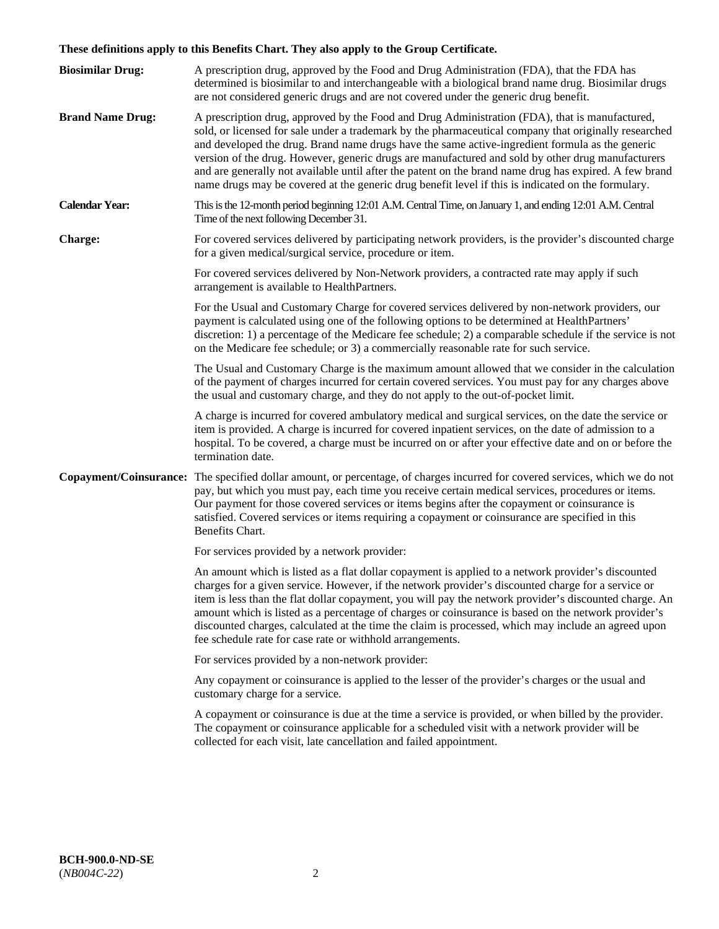# **These definitions apply to this Benefits Chart. They also apply to the Group Certificate.**

| <b>Biosimilar Drug:</b> | A prescription drug, approved by the Food and Drug Administration (FDA), that the FDA has<br>determined is biosimilar to and interchangeable with a biological brand name drug. Biosimilar drugs<br>are not considered generic drugs and are not covered under the generic drug benefit.                                                                                                                                                                                                                                                                                                                                        |
|-------------------------|---------------------------------------------------------------------------------------------------------------------------------------------------------------------------------------------------------------------------------------------------------------------------------------------------------------------------------------------------------------------------------------------------------------------------------------------------------------------------------------------------------------------------------------------------------------------------------------------------------------------------------|
| <b>Brand Name Drug:</b> | A prescription drug, approved by the Food and Drug Administration (FDA), that is manufactured,<br>sold, or licensed for sale under a trademark by the pharmaceutical company that originally researched<br>and developed the drug. Brand name drugs have the same active-ingredient formula as the generic<br>version of the drug. However, generic drugs are manufactured and sold by other drug manufacturers<br>and are generally not available until after the patent on the brand name drug has expired. A few brand<br>name drugs may be covered at the generic drug benefit level if this is indicated on the formulary. |
| <b>Calendar Year:</b>   | This is the 12-month period beginning 12:01 A.M. Central Time, on January 1, and ending 12:01 A.M. Central<br>Time of the next following December 31.                                                                                                                                                                                                                                                                                                                                                                                                                                                                           |
| <b>Charge:</b>          | For covered services delivered by participating network providers, is the provider's discounted charge<br>for a given medical/surgical service, procedure or item.                                                                                                                                                                                                                                                                                                                                                                                                                                                              |
|                         | For covered services delivered by Non-Network providers, a contracted rate may apply if such<br>arrangement is available to HealthPartners.                                                                                                                                                                                                                                                                                                                                                                                                                                                                                     |
|                         | For the Usual and Customary Charge for covered services delivered by non-network providers, our<br>payment is calculated using one of the following options to be determined at HealthPartners'<br>discretion: 1) a percentage of the Medicare fee schedule; 2) a comparable schedule if the service is not<br>on the Medicare fee schedule; or 3) a commercially reasonable rate for such service.                                                                                                                                                                                                                             |
|                         | The Usual and Customary Charge is the maximum amount allowed that we consider in the calculation<br>of the payment of charges incurred for certain covered services. You must pay for any charges above<br>the usual and customary charge, and they do not apply to the out-of-pocket limit.                                                                                                                                                                                                                                                                                                                                    |
|                         | A charge is incurred for covered ambulatory medical and surgical services, on the date the service or<br>item is provided. A charge is incurred for covered inpatient services, on the date of admission to a<br>hospital. To be covered, a charge must be incurred on or after your effective date and on or before the<br>termination date.                                                                                                                                                                                                                                                                                   |
|                         | Copayment/Coinsurance: The specified dollar amount, or percentage, of charges incurred for covered services, which we do not<br>pay, but which you must pay, each time you receive certain medical services, procedures or items.<br>Our payment for those covered services or items begins after the copayment or coinsurance is<br>satisfied. Covered services or items requiring a copayment or coinsurance are specified in this<br>Benefits Chart.                                                                                                                                                                         |
|                         | For services provided by a network provider:                                                                                                                                                                                                                                                                                                                                                                                                                                                                                                                                                                                    |
|                         | An amount which is listed as a flat dollar copayment is applied to a network provider's discounted<br>charges for a given service. However, if the network provider's discounted charge for a service or<br>item is less than the flat dollar copayment, you will pay the network provider's discounted charge. An<br>amount which is listed as a percentage of charges or coinsurance is based on the network provider's<br>discounted charges, calculated at the time the claim is processed, which may include an agreed upon<br>fee schedule rate for case rate or withhold arrangements.                                   |
|                         | For services provided by a non-network provider:                                                                                                                                                                                                                                                                                                                                                                                                                                                                                                                                                                                |
|                         | Any copayment or coinsurance is applied to the lesser of the provider's charges or the usual and<br>customary charge for a service.                                                                                                                                                                                                                                                                                                                                                                                                                                                                                             |
|                         | A copayment or coinsurance is due at the time a service is provided, or when billed by the provider.<br>The copayment or coinsurance applicable for a scheduled visit with a network provider will be<br>collected for each visit, late cancellation and failed appointment.                                                                                                                                                                                                                                                                                                                                                    |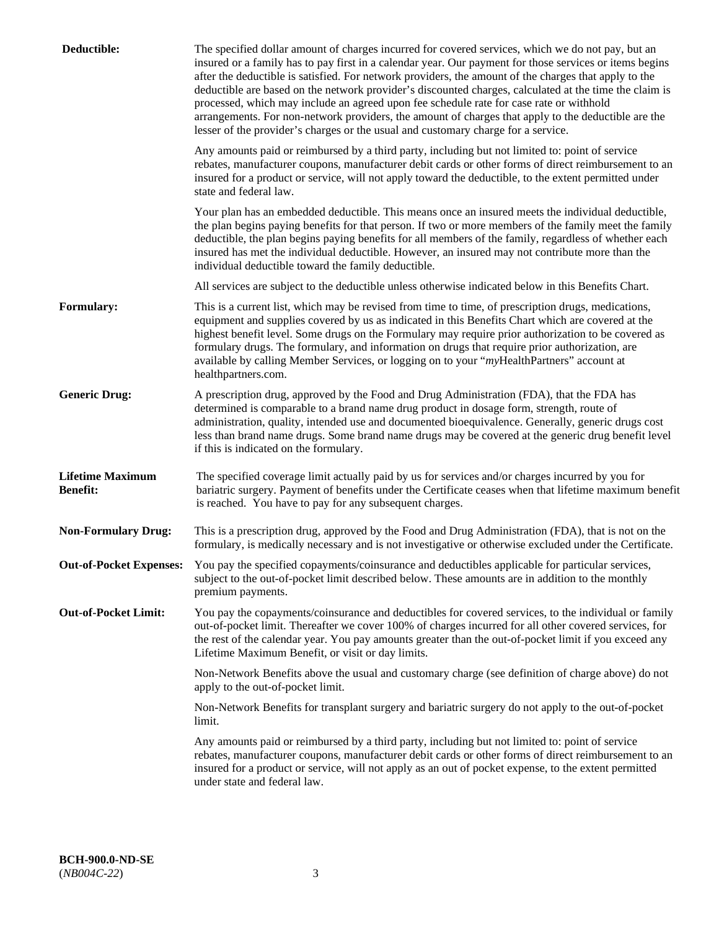| Deductible:                                | The specified dollar amount of charges incurred for covered services, which we do not pay, but an<br>insured or a family has to pay first in a calendar year. Our payment for those services or items begins<br>after the deductible is satisfied. For network providers, the amount of the charges that apply to the<br>deductible are based on the network provider's discounted charges, calculated at the time the claim is<br>processed, which may include an agreed upon fee schedule rate for case rate or withhold<br>arrangements. For non-network providers, the amount of charges that apply to the deductible are the<br>lesser of the provider's charges or the usual and customary charge for a service. |
|--------------------------------------------|------------------------------------------------------------------------------------------------------------------------------------------------------------------------------------------------------------------------------------------------------------------------------------------------------------------------------------------------------------------------------------------------------------------------------------------------------------------------------------------------------------------------------------------------------------------------------------------------------------------------------------------------------------------------------------------------------------------------|
|                                            | Any amounts paid or reimbursed by a third party, including but not limited to: point of service<br>rebates, manufacturer coupons, manufacturer debit cards or other forms of direct reimbursement to an<br>insured for a product or service, will not apply toward the deductible, to the extent permitted under<br>state and federal law.                                                                                                                                                                                                                                                                                                                                                                             |
|                                            | Your plan has an embedded deductible. This means once an insured meets the individual deductible,<br>the plan begins paying benefits for that person. If two or more members of the family meet the family<br>deductible, the plan begins paying benefits for all members of the family, regardless of whether each<br>insured has met the individual deductible. However, an insured may not contribute more than the<br>individual deductible toward the family deductible.                                                                                                                                                                                                                                          |
|                                            | All services are subject to the deductible unless otherwise indicated below in this Benefits Chart.                                                                                                                                                                                                                                                                                                                                                                                                                                                                                                                                                                                                                    |
| <b>Formulary:</b>                          | This is a current list, which may be revised from time to time, of prescription drugs, medications,<br>equipment and supplies covered by us as indicated in this Benefits Chart which are covered at the<br>highest benefit level. Some drugs on the Formulary may require prior authorization to be covered as<br>formulary drugs. The formulary, and information on drugs that require prior authorization, are<br>available by calling Member Services, or logging on to your "myHealthPartners" account at<br>healthpartners.com.                                                                                                                                                                                  |
| <b>Generic Drug:</b>                       | A prescription drug, approved by the Food and Drug Administration (FDA), that the FDA has<br>determined is comparable to a brand name drug product in dosage form, strength, route of<br>administration, quality, intended use and documented bioequivalence. Generally, generic drugs cost<br>less than brand name drugs. Some brand name drugs may be covered at the generic drug benefit level<br>if this is indicated on the formulary.                                                                                                                                                                                                                                                                            |
| <b>Lifetime Maximum</b><br><b>Benefit:</b> | The specified coverage limit actually paid by us for services and/or charges incurred by you for<br>bariatric surgery. Payment of benefits under the Certificate ceases when that lifetime maximum benefit<br>is reached. You have to pay for any subsequent charges.                                                                                                                                                                                                                                                                                                                                                                                                                                                  |
| <b>Non-Formulary Drug:</b>                 | This is a prescription drug, approved by the Food and Drug Administration (FDA), that is not on the<br>formulary, is medically necessary and is not investigative or otherwise excluded under the Certificate.                                                                                                                                                                                                                                                                                                                                                                                                                                                                                                         |
|                                            | Out-of-Pocket Expenses: You pay the specified copayments/coinsurance and deductibles applicable for particular services,<br>subject to the out-of-pocket limit described below. These amounts are in addition to the monthly<br>premium payments.                                                                                                                                                                                                                                                                                                                                                                                                                                                                      |
| <b>Out-of-Pocket Limit:</b>                | You pay the copayments/coinsurance and deductibles for covered services, to the individual or family<br>out-of-pocket limit. Thereafter we cover 100% of charges incurred for all other covered services, for<br>the rest of the calendar year. You pay amounts greater than the out-of-pocket limit if you exceed any<br>Lifetime Maximum Benefit, or visit or day limits.                                                                                                                                                                                                                                                                                                                                            |
|                                            | Non-Network Benefits above the usual and customary charge (see definition of charge above) do not<br>apply to the out-of-pocket limit.                                                                                                                                                                                                                                                                                                                                                                                                                                                                                                                                                                                 |
|                                            | Non-Network Benefits for transplant surgery and bariatric surgery do not apply to the out-of-pocket<br>limit.                                                                                                                                                                                                                                                                                                                                                                                                                                                                                                                                                                                                          |
|                                            | Any amounts paid or reimbursed by a third party, including but not limited to: point of service<br>rebates, manufacturer coupons, manufacturer debit cards or other forms of direct reimbursement to an<br>insured for a product or service, will not apply as an out of pocket expense, to the extent permitted<br>under state and federal law.                                                                                                                                                                                                                                                                                                                                                                       |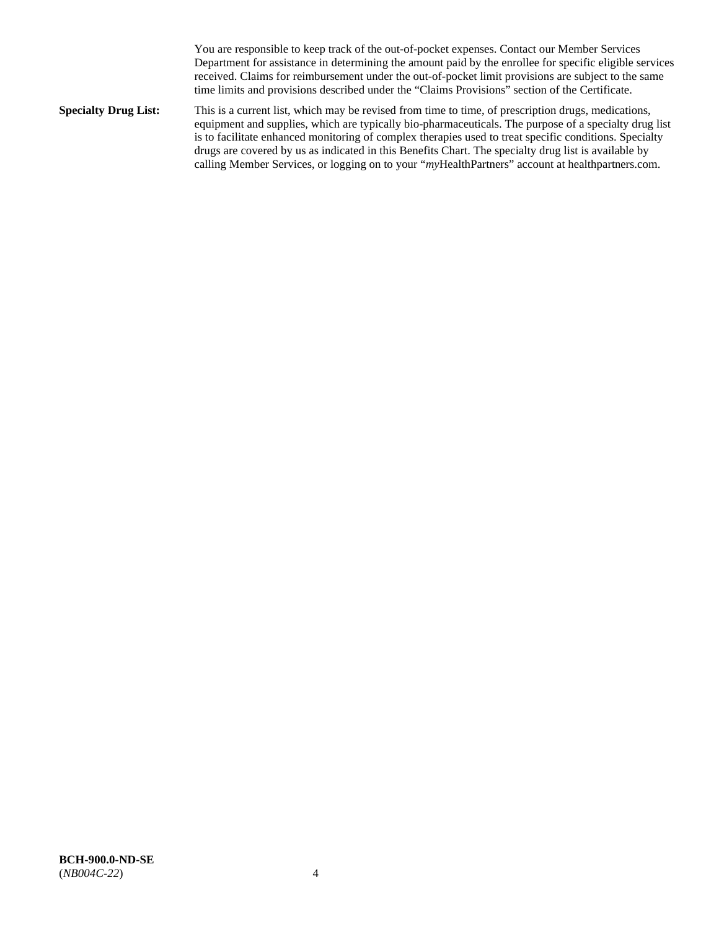You are responsible to keep track of the out-of-pocket expenses. Contact our Member Services Department for assistance in determining the amount paid by the enrollee for specific eligible services received. Claims for reimbursement under the out-of-pocket limit provisions are subject to the same time limits and provisions described under the "Claims Provisions" section of the Certificate.

**Specialty Drug List:** This is a current list, which may be revised from time to time, of prescription drugs, medications, equipment and supplies, which are typically bio-pharmaceuticals. The purpose of a specialty drug list is to facilitate enhanced monitoring of complex therapies used to treat specific conditions. Specialty drugs are covered by us as indicated in this Benefits Chart. The specialty drug list is available by calling Member Services, or logging on to your "*my*HealthPartners" account at [healthpartners.com.](http://www.healthpartners.com/)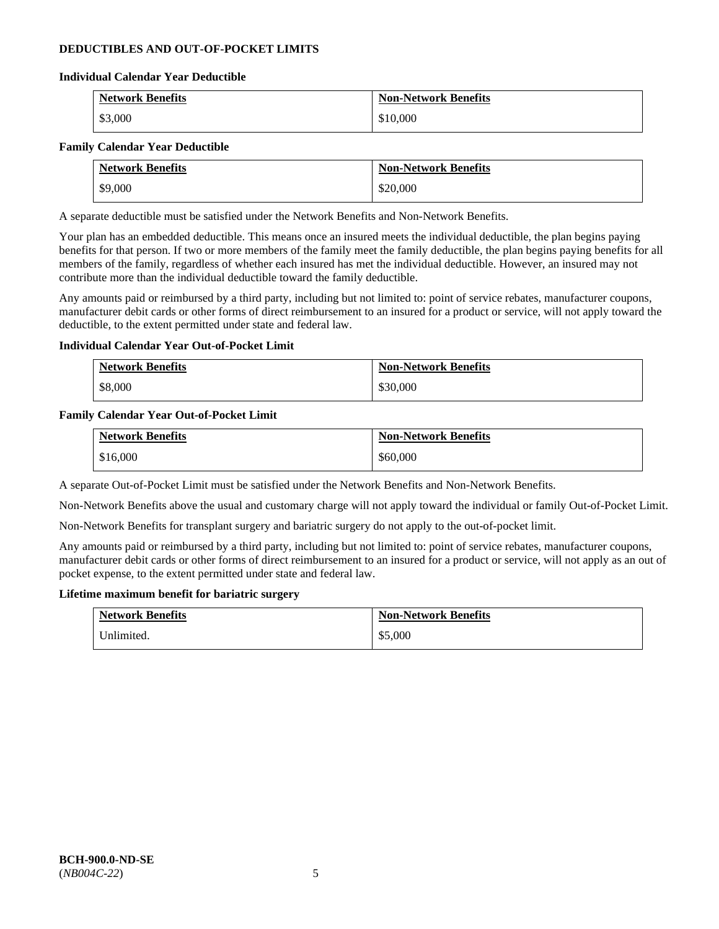### **DEDUCTIBLES AND OUT-OF-POCKET LIMITS**

### **Individual Calendar Year Deductible**

| <b>Network Benefits</b> | <b>Non-Network Benefits</b> |
|-------------------------|-----------------------------|
| \$3,000                 | \$10,000                    |

### **Family Calendar Year Deductible**

| <b>Network Benefits</b> | <b>Non-Network Benefits</b> |
|-------------------------|-----------------------------|
| \$9,000                 | \$20,000                    |

A separate deductible must be satisfied under the Network Benefits and Non-Network Benefits.

Your plan has an embedded deductible. This means once an insured meets the individual deductible, the plan begins paying benefits for that person. If two or more members of the family meet the family deductible, the plan begins paying benefits for all members of the family, regardless of whether each insured has met the individual deductible. However, an insured may not contribute more than the individual deductible toward the family deductible.

Any amounts paid or reimbursed by a third party, including but not limited to: point of service rebates, manufacturer coupons, manufacturer debit cards or other forms of direct reimbursement to an insured for a product or service, will not apply toward the deductible, to the extent permitted under state and federal law.

### **Individual Calendar Year Out-of-Pocket Limit**

| <b>Network Benefits</b> | <b>Non-Network Benefits</b> |
|-------------------------|-----------------------------|
| \$8,000                 | \$30,000                    |

### **Family Calendar Year Out-of-Pocket Limit**

| <b>Network Benefits</b> | <b>Non-Network Benefits</b> |
|-------------------------|-----------------------------|
| \$16,000                | \$60,000                    |

A separate Out-of-Pocket Limit must be satisfied under the Network Benefits and Non-Network Benefits.

Non-Network Benefits above the usual and customary charge will not apply toward the individual or family Out-of-Pocket Limit.

Non-Network Benefits for transplant surgery and bariatric surgery do not apply to the out-of-pocket limit.

Any amounts paid or reimbursed by a third party, including but not limited to: point of service rebates, manufacturer coupons, manufacturer debit cards or other forms of direct reimbursement to an insured for a product or service, will not apply as an out of pocket expense, to the extent permitted under state and federal law.

#### **Lifetime maximum benefit for bariatric surgery**

| <b>Network Benefits</b> | <b>Non-Network Benefits</b> |
|-------------------------|-----------------------------|
| Unlimited.              | \$5,000                     |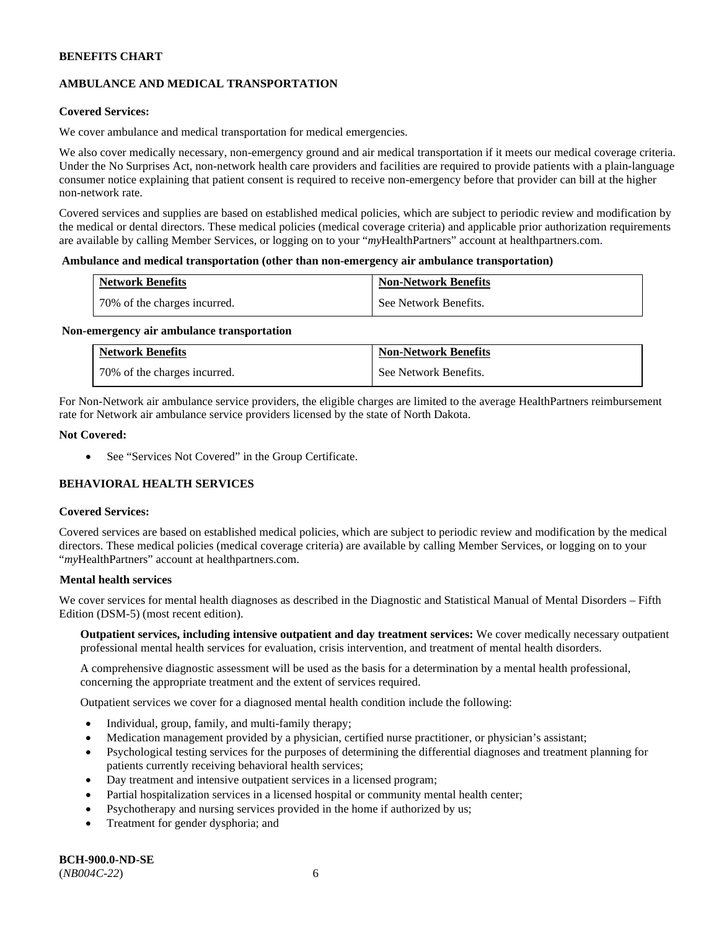# **AMBULANCE AND MEDICAL TRANSPORTATION**

### **Covered Services:**

We cover ambulance and medical transportation for medical emergencies.

We also cover medically necessary, non-emergency ground and air medical transportation if it meets our medical coverage criteria. Under the No Surprises Act, non-network health care providers and facilities are required to provide patients with a plain-language consumer notice explaining that patient consent is required to receive non-emergency before that provider can bill at the higher non-network rate.

Covered services and supplies are based on established medical policies, which are subject to periodic review and modification by the medical or dental directors. These medical policies (medical coverage criteria) and applicable prior authorization requirements are available by calling Member Services, or logging on to your "*my*HealthPartners" account a[t healthpartners.com.](http://www.healthpartners.com/)

#### **Ambulance and medical transportation (other than non-emergency air ambulance transportation)**

| <b>Network Benefits</b>      | <b>Non-Network Benefits</b> |
|------------------------------|-----------------------------|
| 70% of the charges incurred. | See Network Benefits.       |

#### **Non-emergency air ambulance transportation**

| <b>Network Benefits</b>      | <b>Non-Network Benefits</b> |
|------------------------------|-----------------------------|
| 70% of the charges incurred. | See Network Benefits.       |

For Non-Network air ambulance service providers, the eligible charges are limited to the average HealthPartners reimbursement rate for Network air ambulance service providers licensed by the state of North Dakota.

### **Not Covered:**

• See "Services Not Covered" in the Group Certificate.

# **BEHAVIORAL HEALTH SERVICES**

#### **Covered Services:**

Covered services are based on established medical policies, which are subject to periodic review and modification by the medical directors. These medical policies (medical coverage criteria) are available by calling Member Services, or logging on to your "*my*HealthPartners" account at [healthpartners.com.](http://healthpartners.com/)

### **Mental health services**

We cover services for mental health diagnoses as described in the Diagnostic and Statistical Manual of Mental Disorders - Fifth Edition (DSM-5) (most recent edition).

**Outpatient services, including intensive outpatient and day treatment services:** We cover medically necessary outpatient professional mental health services for evaluation, crisis intervention, and treatment of mental health disorders.

A comprehensive diagnostic assessment will be used as the basis for a determination by a mental health professional, concerning the appropriate treatment and the extent of services required.

Outpatient services we cover for a diagnosed mental health condition include the following:

- Individual, group, family, and multi-family therapy;
- Medication management provided by a physician, certified nurse practitioner, or physician's assistant;
- Psychological testing services for the purposes of determining the differential diagnoses and treatment planning for patients currently receiving behavioral health services;
- Day treatment and intensive outpatient services in a licensed program;
- Partial hospitalization services in a licensed hospital or community mental health center;
- Psychotherapy and nursing services provided in the home if authorized by us;
- Treatment for gender dysphoria; and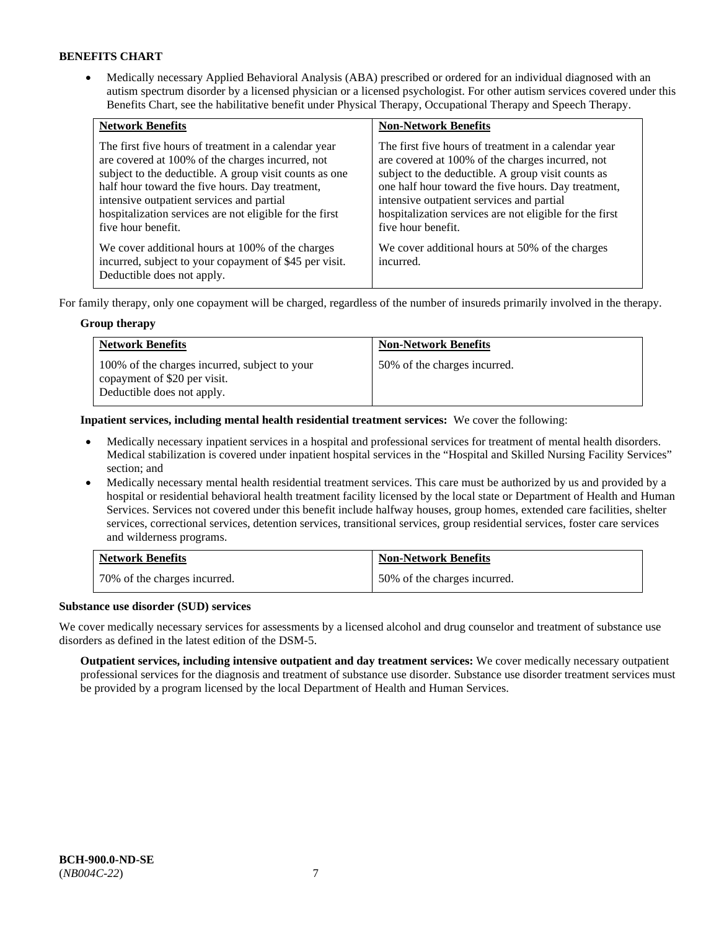• Medically necessary Applied Behavioral Analysis (ABA) prescribed or ordered for an individual diagnosed with an autism spectrum disorder by a licensed physician or a licensed psychologist. For other autism services covered under this Benefits Chart, see the habilitative benefit under Physical Therapy, Occupational Therapy and Speech Therapy.

| <b>Network Benefits</b>                                                                                                                                                                                                                                                                                                                             | <b>Non-Network Benefits</b>                                                                                                                                                                                                                                                                                                                         |
|-----------------------------------------------------------------------------------------------------------------------------------------------------------------------------------------------------------------------------------------------------------------------------------------------------------------------------------------------------|-----------------------------------------------------------------------------------------------------------------------------------------------------------------------------------------------------------------------------------------------------------------------------------------------------------------------------------------------------|
| The first five hours of treatment in a calendar year<br>are covered at 100% of the charges incurred, not<br>subject to the deductible. A group visit counts as one<br>half hour toward the five hours. Day treatment,<br>intensive outpatient services and partial<br>hospitalization services are not eligible for the first<br>five hour benefit. | The first five hours of treatment in a calendar year<br>are covered at 100% of the charges incurred, not<br>subject to the deductible. A group visit counts as<br>one half hour toward the five hours. Day treatment,<br>intensive outpatient services and partial<br>hospitalization services are not eligible for the first<br>five hour benefit. |
| We cover additional hours at 100% of the charges<br>incurred, subject to your copayment of \$45 per visit.<br>Deductible does not apply.                                                                                                                                                                                                            | We cover additional hours at 50% of the charges<br>incurred.                                                                                                                                                                                                                                                                                        |

For family therapy, only one copayment will be charged, regardless of the number of insureds primarily involved in the therapy.

### **Group therapy**

| <b>Network Benefits</b>                                                                                     | <b>Non-Network Benefits</b>  |
|-------------------------------------------------------------------------------------------------------------|------------------------------|
| 100% of the charges incurred, subject to your<br>copayment of \$20 per visit.<br>Deductible does not apply. | 50% of the charges incurred. |

**Inpatient services, including mental health residential treatment services:** We cover the following:

- Medically necessary inpatient services in a hospital and professional services for treatment of mental health disorders. Medical stabilization is covered under inpatient hospital services in the "Hospital and Skilled Nursing Facility Services" section; and
- Medically necessary mental health residential treatment services. This care must be authorized by us and provided by a hospital or residential behavioral health treatment facility licensed by the local state or Department of Health and Human Services. Services not covered under this benefit include halfway houses, group homes, extended care facilities, shelter services, correctional services, detention services, transitional services, group residential services, foster care services and wilderness programs.

| <b>Network Benefits</b>      | <b>Non-Network Benefits</b>  |
|------------------------------|------------------------------|
| 70% of the charges incurred. | 50% of the charges incurred. |

### **Substance use disorder (SUD) services**

We cover medically necessary services for assessments by a licensed alcohol and drug counselor and treatment of substance use disorders as defined in the latest edition of the DSM-5.

**Outpatient services, including intensive outpatient and day treatment services:** We cover medically necessary outpatient professional services for the diagnosis and treatment of substance use disorder. Substance use disorder treatment services must be provided by a program licensed by the local Department of Health and Human Services.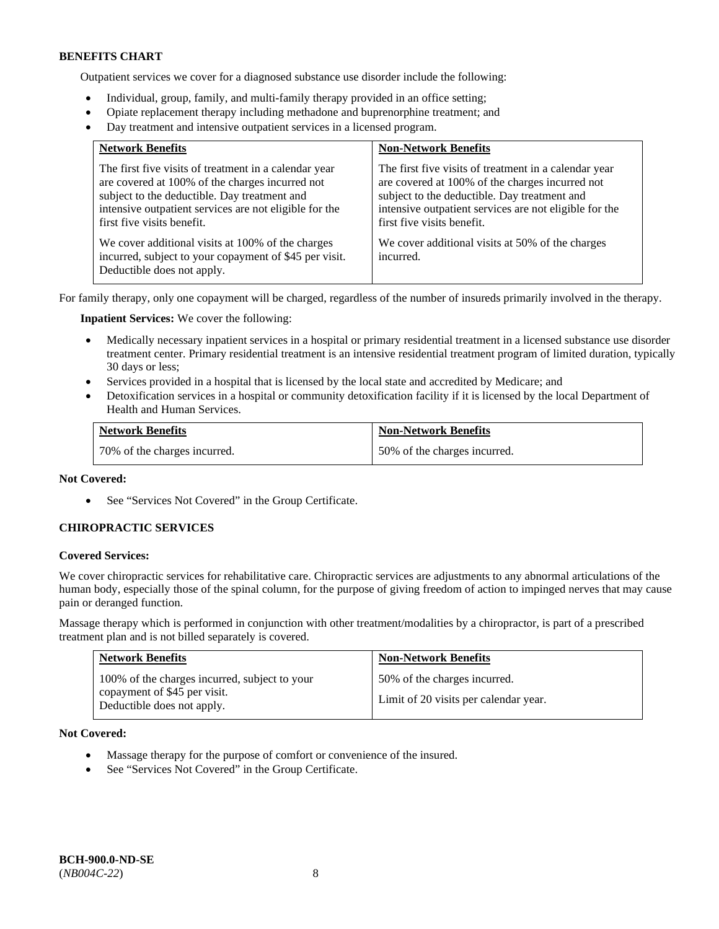Outpatient services we cover for a diagnosed substance use disorder include the following:

- Individual, group, family, and multi-family therapy provided in an office setting;
- Opiate replacement therapy including methadone and buprenorphine treatment; and
- Day treatment and intensive outpatient services in a licensed program.

| <b>Network Benefits</b>                                                                                                                                                                                                                          | <b>Non-Network Benefits</b>                                                                                                                                                                                                                      |
|--------------------------------------------------------------------------------------------------------------------------------------------------------------------------------------------------------------------------------------------------|--------------------------------------------------------------------------------------------------------------------------------------------------------------------------------------------------------------------------------------------------|
| The first five visits of treatment in a calendar year<br>are covered at 100% of the charges incurred not<br>subject to the deductible. Day treatment and<br>intensive outpatient services are not eligible for the<br>first five visits benefit. | The first five visits of treatment in a calendar year<br>are covered at 100% of the charges incurred not<br>subject to the deductible. Day treatment and<br>intensive outpatient services are not eligible for the<br>first five visits benefit. |
| We cover additional visits at 100% of the charges<br>incurred, subject to your copayment of \$45 per visit.<br>Deductible does not apply.                                                                                                        | We cover additional visits at 50% of the charges<br>incurred.                                                                                                                                                                                    |

For family therapy, only one copayment will be charged, regardless of the number of insureds primarily involved in the therapy.

**Inpatient Services:** We cover the following:

- Medically necessary inpatient services in a hospital or primary residential treatment in a licensed substance use disorder treatment center. Primary residential treatment is an intensive residential treatment program of limited duration, typically 30 days or less;
- Services provided in a hospital that is licensed by the local state and accredited by Medicare; and
- Detoxification services in a hospital or community detoxification facility if it is licensed by the local Department of Health and Human Services.

| <b>Network Benefits</b>      | <b>Non-Network Benefits</b>  |
|------------------------------|------------------------------|
| 70% of the charges incurred. | 50% of the charges incurred. |

### **Not Covered:**

• See "Services Not Covered" in the Group Certificate.

### **CHIROPRACTIC SERVICES**

#### **Covered Services:**

We cover chiropractic services for rehabilitative care. Chiropractic services are adjustments to any abnormal articulations of the human body, especially those of the spinal column, for the purpose of giving freedom of action to impinged nerves that may cause pain or deranged function.

Massage therapy which is performed in conjunction with other treatment/modalities by a chiropractor, is part of a prescribed treatment plan and is not billed separately is covered.

| <b>Network Benefits</b>                                                                                     | <b>Non-Network Benefits</b>                                           |
|-------------------------------------------------------------------------------------------------------------|-----------------------------------------------------------------------|
| 100% of the charges incurred, subject to your<br>copayment of \$45 per visit.<br>Deductible does not apply. | 50% of the charges incurred.<br>Limit of 20 visits per calendar year. |

**Not Covered:** 

- Massage therapy for the purpose of comfort or convenience of the insured.
- See "Services Not Covered" in the Group Certificate.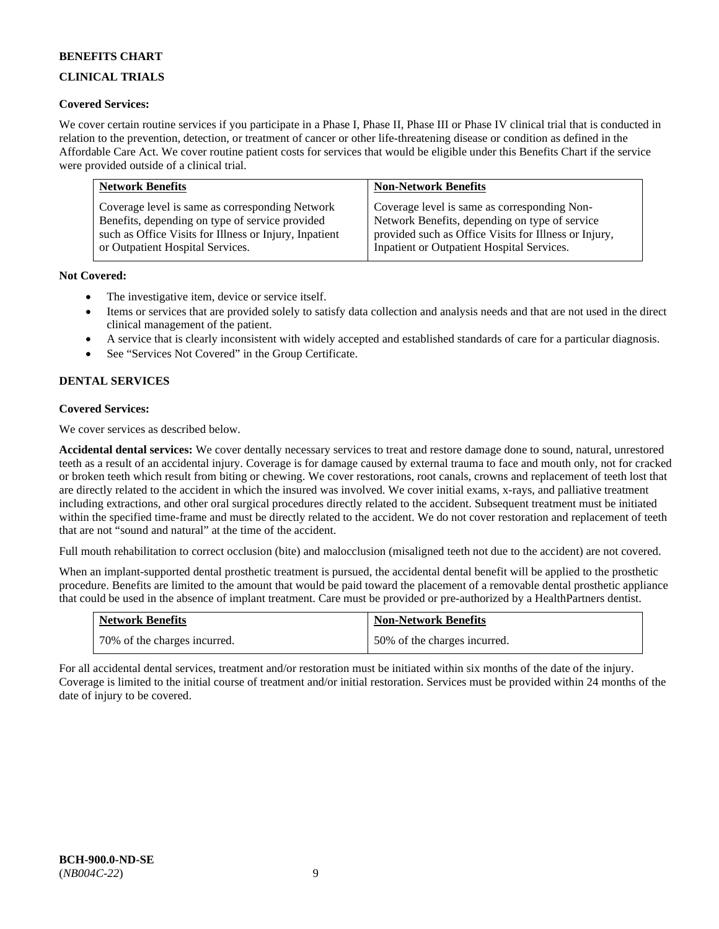# **CLINICAL TRIALS**

### **Covered Services:**

We cover certain routine services if you participate in a Phase I, Phase II, Phase III or Phase IV clinical trial that is conducted in relation to the prevention, detection, or treatment of cancer or other life-threatening disease or condition as defined in the Affordable Care Act. We cover routine patient costs for services that would be eligible under this Benefits Chart if the service were provided outside of a clinical trial.

| <b>Network Benefits</b>                                | <b>Non-Network Benefits</b>                           |
|--------------------------------------------------------|-------------------------------------------------------|
| Coverage level is same as corresponding Network        | Coverage level is same as corresponding Non-          |
| Benefits, depending on type of service provided        | Network Benefits, depending on type of service        |
| such as Office Visits for Illness or Injury, Inpatient | provided such as Office Visits for Illness or Injury, |
| or Outpatient Hospital Services.                       | Inpatient or Outpatient Hospital Services.            |

### **Not Covered:**

- The investigative item, device or service itself.
- Items or services that are provided solely to satisfy data collection and analysis needs and that are not used in the direct clinical management of the patient.
- A service that is clearly inconsistent with widely accepted and established standards of care for a particular diagnosis.
- See "Services Not Covered" in the Group Certificate.

# **DENTAL SERVICES**

### **Covered Services:**

We cover services as described below.

**Accidental dental services:** We cover dentally necessary services to treat and restore damage done to sound, natural, unrestored teeth as a result of an accidental injury. Coverage is for damage caused by external trauma to face and mouth only, not for cracked or broken teeth which result from biting or chewing. We cover restorations, root canals, crowns and replacement of teeth lost that are directly related to the accident in which the insured was involved. We cover initial exams, x-rays, and palliative treatment including extractions, and other oral surgical procedures directly related to the accident. Subsequent treatment must be initiated within the specified time-frame and must be directly related to the accident. We do not cover restoration and replacement of teeth that are not "sound and natural" at the time of the accident.

Full mouth rehabilitation to correct occlusion (bite) and malocclusion (misaligned teeth not due to the accident) are not covered.

When an implant-supported dental prosthetic treatment is pursued, the accidental dental benefit will be applied to the prosthetic procedure. Benefits are limited to the amount that would be paid toward the placement of a removable dental prosthetic appliance that could be used in the absence of implant treatment. Care must be provided or pre-authorized by a HealthPartners dentist.

| <b>Network Benefits</b>      | <b>Non-Network Benefits</b>  |
|------------------------------|------------------------------|
| 70% of the charges incurred. | 50% of the charges incurred. |

For all accidental dental services, treatment and/or restoration must be initiated within six months of the date of the injury. Coverage is limited to the initial course of treatment and/or initial restoration. Services must be provided within 24 months of the date of injury to be covered.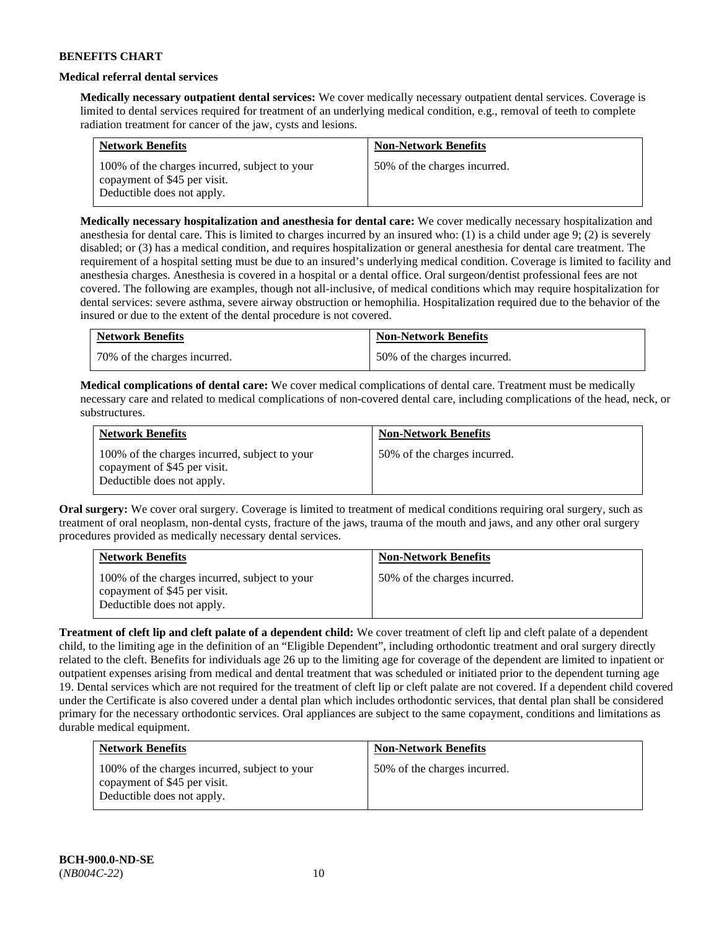### **Medical referral dental services**

**Medically necessary outpatient dental services:** We cover medically necessary outpatient dental services. Coverage is limited to dental services required for treatment of an underlying medical condition, e.g., removal of teeth to complete radiation treatment for cancer of the jaw, cysts and lesions.

| <b>Network Benefits</b>                                                                                     | <b>Non-Network Benefits</b>  |
|-------------------------------------------------------------------------------------------------------------|------------------------------|
| 100% of the charges incurred, subject to your<br>copayment of \$45 per visit.<br>Deductible does not apply. | 50% of the charges incurred. |

**Medically necessary hospitalization and anesthesia for dental care:** We cover medically necessary hospitalization and anesthesia for dental care. This is limited to charges incurred by an insured who: (1) is a child under age 9; (2) is severely disabled; or (3) has a medical condition, and requires hospitalization or general anesthesia for dental care treatment. The requirement of a hospital setting must be due to an insured's underlying medical condition. Coverage is limited to facility and anesthesia charges. Anesthesia is covered in a hospital or a dental office. Oral surgeon/dentist professional fees are not covered. The following are examples, though not all-inclusive, of medical conditions which may require hospitalization for dental services: severe asthma, severe airway obstruction or hemophilia. Hospitalization required due to the behavior of the insured or due to the extent of the dental procedure is not covered.

| <b>Network Benefits</b>      | <b>Non-Network Benefits</b>  |
|------------------------------|------------------------------|
| 70% of the charges incurred. | 50% of the charges incurred. |

**Medical complications of dental care:** We cover medical complications of dental care. Treatment must be medically necessary care and related to medical complications of non-covered dental care, including complications of the head, neck, or substructures.

| <b>Network Benefits</b>                                                                                     | <b>Non-Network Benefits</b>  |
|-------------------------------------------------------------------------------------------------------------|------------------------------|
| 100% of the charges incurred, subject to your<br>copayment of \$45 per visit.<br>Deductible does not apply. | 50% of the charges incurred. |

**Oral surgery:** We cover oral surgery. Coverage is limited to treatment of medical conditions requiring oral surgery, such as treatment of oral neoplasm, non-dental cysts, fracture of the jaws, trauma of the mouth and jaws, and any other oral surgery procedures provided as medically necessary dental services.

| <b>Network Benefits</b>                                                                                     | <b>Non-Network Benefits</b>  |
|-------------------------------------------------------------------------------------------------------------|------------------------------|
| 100% of the charges incurred, subject to your<br>copayment of \$45 per visit.<br>Deductible does not apply. | 50% of the charges incurred. |

**Treatment of cleft lip and cleft palate of a dependent child:** We cover treatment of cleft lip and cleft palate of a dependent child, to the limiting age in the definition of an "Eligible Dependent", including orthodontic treatment and oral surgery directly related to the cleft. Benefits for individuals age 26 up to the limiting age for coverage of the dependent are limited to inpatient or outpatient expenses arising from medical and dental treatment that was scheduled or initiated prior to the dependent turning age 19. Dental services which are not required for the treatment of cleft lip or cleft palate are not covered. If a dependent child covered under the Certificate is also covered under a dental plan which includes orthodontic services, that dental plan shall be considered primary for the necessary orthodontic services. Oral appliances are subject to the same copayment, conditions and limitations as durable medical equipment.

| <b>Network Benefits</b>                                                                                     | <b>Non-Network Benefits</b>  |
|-------------------------------------------------------------------------------------------------------------|------------------------------|
| 100% of the charges incurred, subject to your<br>copayment of \$45 per visit.<br>Deductible does not apply. | 50% of the charges incurred. |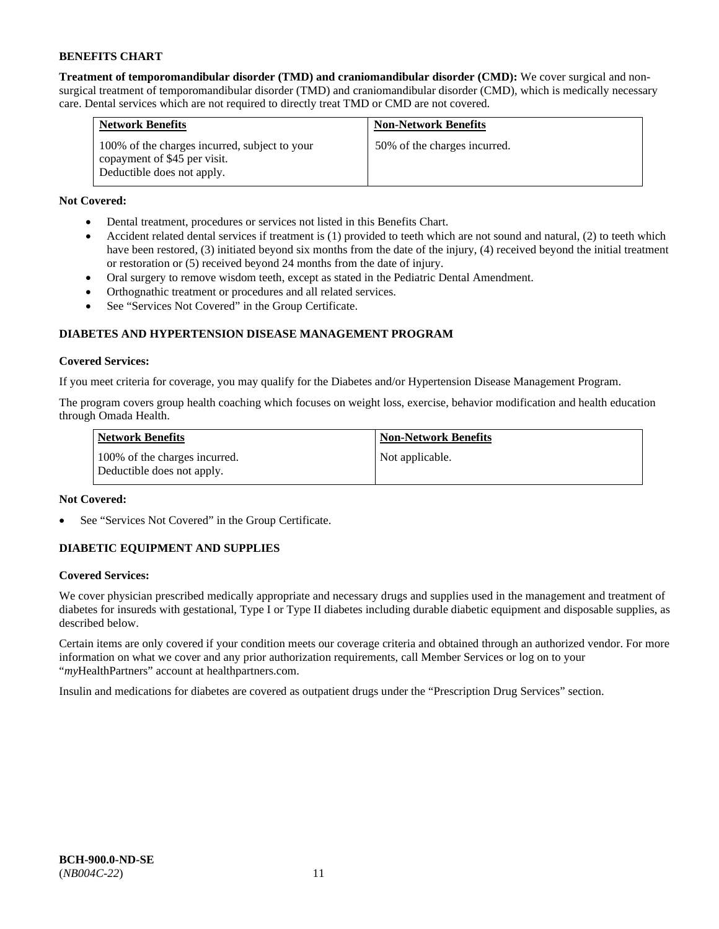**Treatment of temporomandibular disorder (TMD) and craniomandibular disorder (CMD):** We cover surgical and nonsurgical treatment of temporomandibular disorder (TMD) and craniomandibular disorder (CMD), which is medically necessary care. Dental services which are not required to directly treat TMD or CMD are not covered.

| <b>Network Benefits</b>                                                                                     | <b>Non-Network Benefits</b>  |
|-------------------------------------------------------------------------------------------------------------|------------------------------|
| 100% of the charges incurred, subject to your<br>copayment of \$45 per visit.<br>Deductible does not apply. | 50% of the charges incurred. |

# **Not Covered:**

- Dental treatment, procedures or services not listed in this Benefits Chart.
- Accident related dental services if treatment is (1) provided to teeth which are not sound and natural, (2) to teeth which have been restored, (3) initiated beyond six months from the date of the injury, (4) received beyond the initial treatment or restoration or (5) received beyond 24 months from the date of injury.
- Oral surgery to remove wisdom teeth, except as stated in the Pediatric Dental Amendment.
- Orthognathic treatment or procedures and all related services.
- See "Services Not Covered" in the Group Certificate.

# **DIABETES AND HYPERTENSION DISEASE MANAGEMENT PROGRAM**

### **Covered Services:**

If you meet criteria for coverage, you may qualify for the Diabetes and/or Hypertension Disease Management Program.

The program covers group health coaching which focuses on weight loss, exercise, behavior modification and health education through Omada Health.

| <b>Network Benefits</b>                                     | <b>Non-Network Benefits</b> |
|-------------------------------------------------------------|-----------------------------|
| 100% of the charges incurred.<br>Deductible does not apply. | Not applicable.             |

### **Not Covered:**

See "Services Not Covered" in the Group Certificate.

# **DIABETIC EQUIPMENT AND SUPPLIES**

### **Covered Services:**

We cover physician prescribed medically appropriate and necessary drugs and supplies used in the management and treatment of diabetes for insureds with gestational, Type I or Type II diabetes including durable diabetic equipment and disposable supplies, as described below.

Certain items are only covered if your condition meets our coverage criteria and obtained through an authorized vendor. For more information on what we cover and any prior authorization requirements, call Member Services or log on to your "*my*HealthPartners" account at [healthpartners.com.](http://www.healthpartners.com/)

Insulin and medications for diabetes are covered as outpatient drugs under the "Prescription Drug Services" section.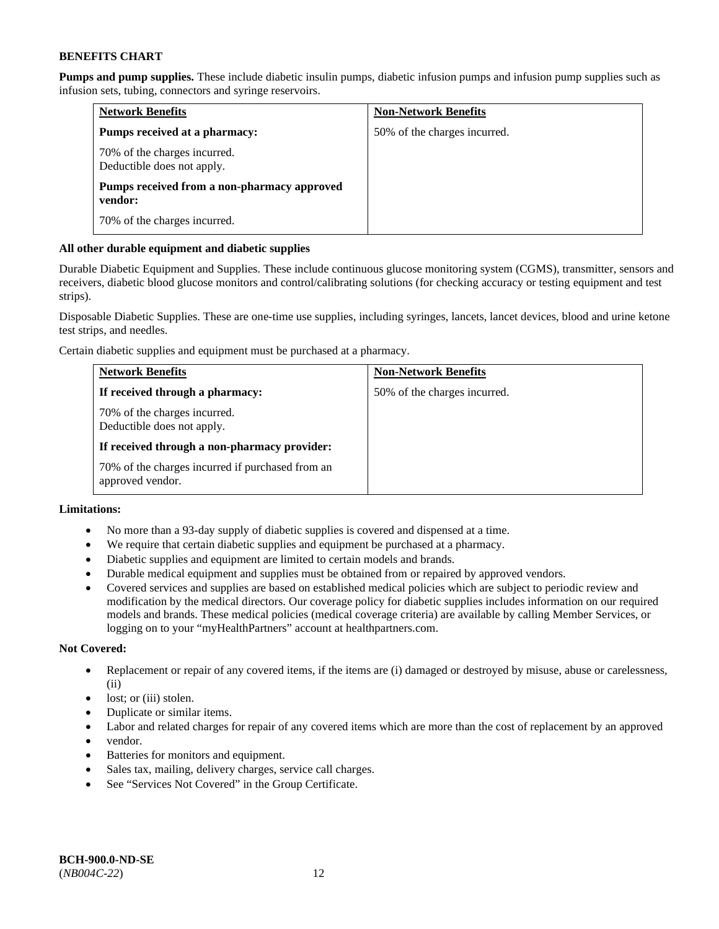**Pumps and pump supplies.** These include diabetic insulin pumps, diabetic infusion pumps and infusion pump supplies such as infusion sets, tubing, connectors and syringe reservoirs.

| <b>Network Benefits</b>                                    | <b>Non-Network Benefits</b>  |
|------------------------------------------------------------|------------------------------|
| Pumps received at a pharmacy:                              | 50% of the charges incurred. |
| 70% of the charges incurred.<br>Deductible does not apply. |                              |
| Pumps received from a non-pharmacy approved<br>vendor:     |                              |
| 70% of the charges incurred.                               |                              |

### **All other durable equipment and diabetic supplies**

Durable Diabetic Equipment and Supplies. These include continuous glucose monitoring system (CGMS), transmitter, sensors and receivers, diabetic blood glucose monitors and control/calibrating solutions (for checking accuracy or testing equipment and test strips).

Disposable Diabetic Supplies. These are one-time use supplies, including syringes, lancets, lancet devices, blood and urine ketone test strips, and needles.

Certain diabetic supplies and equipment must be purchased at a pharmacy.

| <b>Network Benefits</b>                                              | <b>Non-Network Benefits</b>  |
|----------------------------------------------------------------------|------------------------------|
| If received through a pharmacy:                                      | 50% of the charges incurred. |
| 70% of the charges incurred.<br>Deductible does not apply.           |                              |
| If received through a non-pharmacy provider:                         |                              |
| 70% of the charges incurred if purchased from an<br>approved vendor. |                              |

# **Limitations:**

- No more than a 93-day supply of diabetic supplies is covered and dispensed at a time.
- We require that certain diabetic supplies and equipment be purchased at a pharmacy.
- Diabetic supplies and equipment are limited to certain models and brands.
- Durable medical equipment and supplies must be obtained from or repaired by approved vendors.
- Covered services and supplies are based on established medical policies which are subject to periodic review and modification by the medical directors. Our coverage policy for diabetic supplies includes information on our required models and brands. These medical policies (medical coverage criteria) are available by calling Member Services, or logging on to your "myHealthPartners" account a[t healthpartners.com.](http://www.healthpartners.com/)

### **Not Covered:**

- Replacement or repair of any covered items, if the items are (i) damaged or destroyed by misuse, abuse or carelessness, (ii)
- lost; or (iii) stolen.
- Duplicate or similar items.
- Labor and related charges for repair of any covered items which are more than the cost of replacement by an approved
- vendor.
- Batteries for monitors and equipment.
- Sales tax, mailing, delivery charges, service call charges.
- See "Services Not Covered" in the Group Certificate.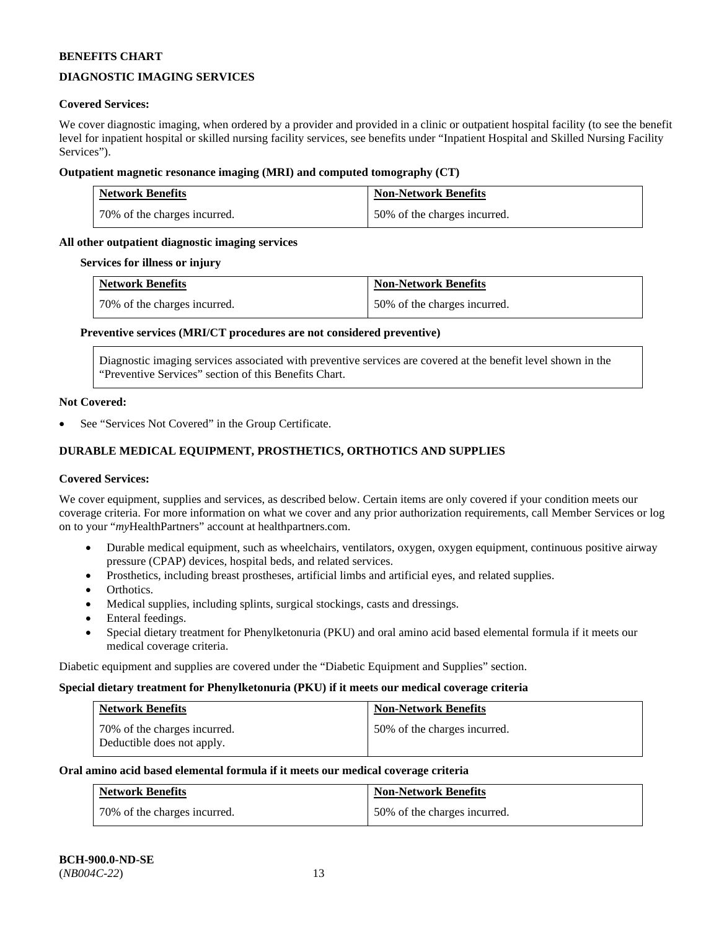# **DIAGNOSTIC IMAGING SERVICES**

### **Covered Services:**

We cover diagnostic imaging, when ordered by a provider and provided in a clinic or outpatient hospital facility (to see the benefit level for inpatient hospital or skilled nursing facility services, see benefits under "Inpatient Hospital and Skilled Nursing Facility Services").

### **Outpatient magnetic resonance imaging (MRI) and computed tomography (CT)**

| <b>Network Benefits</b>      | <b>Non-Network Benefits</b>  |
|------------------------------|------------------------------|
| 70% of the charges incurred. | 50% of the charges incurred. |

### **All other outpatient diagnostic imaging services**

#### **Services for illness or injury**

| <b>Network Benefits</b>      | <b>Non-Network Benefits</b>  |
|------------------------------|------------------------------|
| 70% of the charges incurred. | 50% of the charges incurred. |

### **Preventive services (MRI/CT procedures are not considered preventive)**

Diagnostic imaging services associated with preventive services are covered at the benefit level shown in the "Preventive Services" section of this Benefits Chart.

#### **Not Covered:**

See "Services Not Covered" in the Group Certificate.

# **DURABLE MEDICAL EQUIPMENT, PROSTHETICS, ORTHOTICS AND SUPPLIES**

#### **Covered Services:**

We cover equipment, supplies and services, as described below. Certain items are only covered if your condition meets our coverage criteria. For more information on what we cover and any prior authorization requirements, call Member Services or log on to your "*my*HealthPartners" account at [healthpartners.com.](http://www.healthpartners.com/)

- Durable medical equipment, such as wheelchairs, ventilators, oxygen, oxygen equipment, continuous positive airway pressure (CPAP) devices, hospital beds, and related services.
- Prosthetics, including breast prostheses, artificial limbs and artificial eyes, and related supplies.
- Orthotics.
- Medical supplies, including splints, surgical stockings, casts and dressings.
- Enteral feedings.
- Special dietary treatment for Phenylketonuria (PKU) and oral amino acid based elemental formula if it meets our medical coverage criteria.

Diabetic equipment and supplies are covered under the "Diabetic Equipment and Supplies" section.

#### **Special dietary treatment for Phenylketonuria (PKU) if it meets our medical coverage criteria**

| Network Benefits                                           | <b>Non-Network Benefits</b>  |
|------------------------------------------------------------|------------------------------|
| 70% of the charges incurred.<br>Deductible does not apply. | 50% of the charges incurred. |

#### **Oral amino acid based elemental formula if it meets our medical coverage criteria**

| <b>Network Benefits</b>      | <b>Non-Network Benefits</b>  |
|------------------------------|------------------------------|
| 70% of the charges incurred. | 50% of the charges incurred. |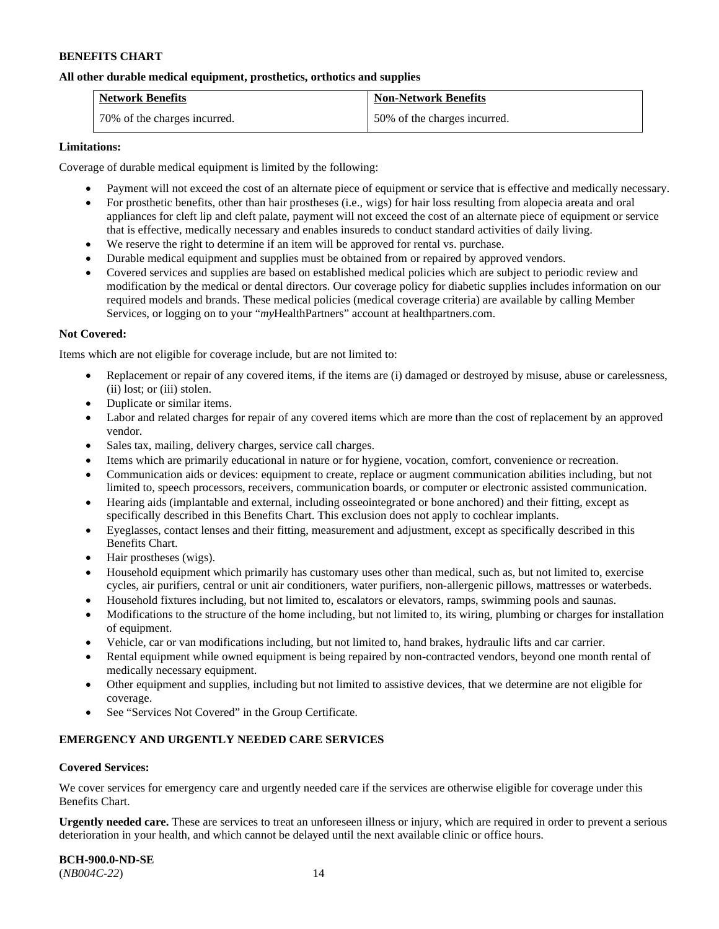### **All other durable medical equipment, prosthetics, orthotics and supplies**

| <b>Network Benefits</b>      | <b>Non-Network Benefits</b>  |
|------------------------------|------------------------------|
| 70% of the charges incurred. | 50% of the charges incurred. |

### **Limitations:**

Coverage of durable medical equipment is limited by the following:

- Payment will not exceed the cost of an alternate piece of equipment or service that is effective and medically necessary.
- For prosthetic benefits, other than hair prostheses (i.e., wigs) for hair loss resulting from alopecia areata and oral appliances for cleft lip and cleft palate, payment will not exceed the cost of an alternate piece of equipment or service that is effective, medically necessary and enables insureds to conduct standard activities of daily living.
- We reserve the right to determine if an item will be approved for rental vs. purchase.
- Durable medical equipment and supplies must be obtained from or repaired by approved vendors.
- Covered services and supplies are based on established medical policies which are subject to periodic review and modification by the medical or dental directors. Our coverage policy for diabetic supplies includes information on our required models and brands. These medical policies (medical coverage criteria) are available by calling Member Services, or logging on to your "*my*HealthPartners" account at [healthpartners.com.](http://www.healthpartners.com/)

### **Not Covered:**

Items which are not eligible for coverage include, but are not limited to:

- Replacement or repair of any covered items, if the items are (i) damaged or destroyed by misuse, abuse or carelessness, (ii) lost; or (iii) stolen.
- Duplicate or similar items.
- Labor and related charges for repair of any covered items which are more than the cost of replacement by an approved vendor.
- Sales tax, mailing, delivery charges, service call charges.
- Items which are primarily educational in nature or for hygiene, vocation, comfort, convenience or recreation.
- Communication aids or devices: equipment to create, replace or augment communication abilities including, but not limited to, speech processors, receivers, communication boards, or computer or electronic assisted communication.
- Hearing aids (implantable and external, including osseointegrated or bone anchored) and their fitting, except as specifically described in this Benefits Chart. This exclusion does not apply to cochlear implants.
- Eyeglasses, contact lenses and their fitting, measurement and adjustment, except as specifically described in this Benefits Chart.
- Hair prostheses (wigs).
- Household equipment which primarily has customary uses other than medical, such as, but not limited to, exercise cycles, air purifiers, central or unit air conditioners, water purifiers, non-allergenic pillows, mattresses or waterbeds.
- Household fixtures including, but not limited to, escalators or elevators, ramps, swimming pools and saunas.
- Modifications to the structure of the home including, but not limited to, its wiring, plumbing or charges for installation of equipment.
- Vehicle, car or van modifications including, but not limited to, hand brakes, hydraulic lifts and car carrier.
- Rental equipment while owned equipment is being repaired by non-contracted vendors, beyond one month rental of medically necessary equipment.
- Other equipment and supplies, including but not limited to assistive devices, that we determine are not eligible for coverage.
- See "Services Not Covered" in the Group Certificate.

### **EMERGENCY AND URGENTLY NEEDED CARE SERVICES**

#### **Covered Services:**

We cover services for emergency care and urgently needed care if the services are otherwise eligible for coverage under this Benefits Chart.

**Urgently needed care.** These are services to treat an unforeseen illness or injury, which are required in order to prevent a serious deterioration in your health, and which cannot be delayed until the next available clinic or office hours.

**BCH-900.0-ND-SE** (*NB004C-22*) 14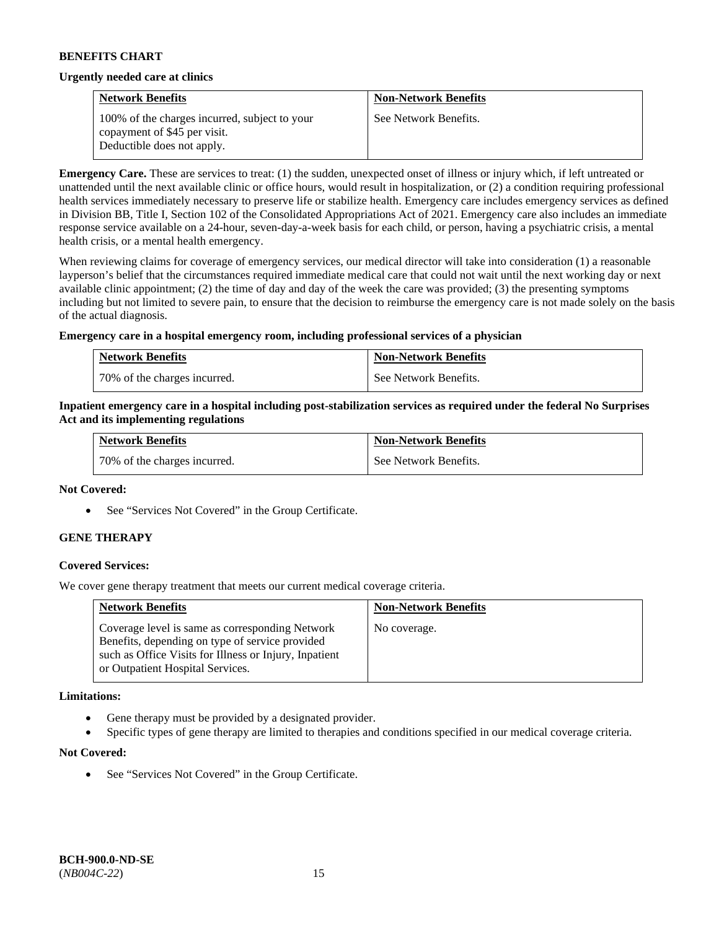#### **Urgently needed care at clinics**

| <b>Network Benefits</b>                                                       | <b>Non-Network Benefits</b> |
|-------------------------------------------------------------------------------|-----------------------------|
| 100% of the charges incurred, subject to your<br>copayment of \$45 per visit. | See Network Benefits.       |
| Deductible does not apply.                                                    |                             |

**Emergency Care.** These are services to treat: (1) the sudden, unexpected onset of illness or injury which, if left untreated or unattended until the next available clinic or office hours, would result in hospitalization, or (2) a condition requiring professional health services immediately necessary to preserve life or stabilize health. Emergency care includes emergency services as defined in Division BB, Title I, Section 102 of the Consolidated Appropriations Act of 2021. Emergency care also includes an immediate response service available on a 24-hour, seven-day-a-week basis for each child, or person, having a psychiatric crisis, a mental health crisis, or a mental health emergency.

When reviewing claims for coverage of emergency services, our medical director will take into consideration (1) a reasonable layperson's belief that the circumstances required immediate medical care that could not wait until the next working day or next available clinic appointment; (2) the time of day and day of the week the care was provided; (3) the presenting symptoms including but not limited to severe pain, to ensure that the decision to reimburse the emergency care is not made solely on the basis of the actual diagnosis.

### **Emergency care in a hospital emergency room, including professional services of a physician**

| <b>Network Benefits</b>        | <b>Non-Network Benefits</b> |
|--------------------------------|-----------------------------|
| 1 70% of the charges incurred. | See Network Benefits.       |

### **Inpatient emergency care in a hospital including post-stabilization services as required under the federal No Surprises Act and its implementing regulations**

| <b>Network Benefits</b>      | <b>Non-Network Benefits</b> |
|------------------------------|-----------------------------|
| 70% of the charges incurred. | See Network Benefits.       |

#### **Not Covered:**

• See "Services Not Covered" in the Group Certificate.

### **GENE THERAPY**

### **Covered Services:**

We cover gene therapy treatment that meets our current medical coverage criteria.

| <b>Network Benefits</b>                                                                                                                                                                          | <b>Non-Network Benefits</b> |
|--------------------------------------------------------------------------------------------------------------------------------------------------------------------------------------------------|-----------------------------|
| Coverage level is same as corresponding Network<br>Benefits, depending on type of service provided<br>such as Office Visits for Illness or Injury, Inpatient<br>or Outpatient Hospital Services. | No coverage.                |

#### **Limitations:**

- Gene therapy must be provided by a designated provider.
- Specific types of gene therapy are limited to therapies and conditions specified in our medical coverage criteria.

#### **Not Covered:**

See "Services Not Covered" in the Group Certificate.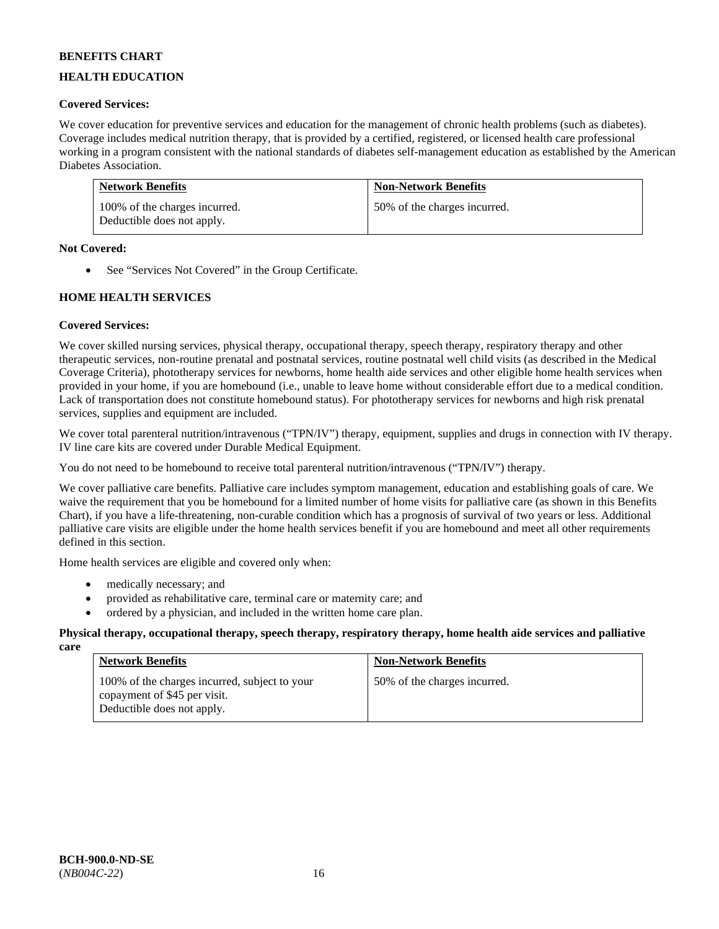# **HEALTH EDUCATION**

# **Covered Services:**

We cover education for preventive services and education for the management of chronic health problems (such as diabetes). Coverage includes medical nutrition therapy, that is provided by a certified, registered, or licensed health care professional working in a program consistent with the national standards of diabetes self-management education as established by the American Diabetes Association.

| <b>Network Benefits</b>                                     | <b>Non-Network Benefits</b>  |
|-------------------------------------------------------------|------------------------------|
| 100% of the charges incurred.<br>Deductible does not apply. | 50% of the charges incurred. |

### **Not Covered:**

• See "Services Not Covered" in the Group Certificate.

### **HOME HEALTH SERVICES**

### **Covered Services:**

We cover skilled nursing services, physical therapy, occupational therapy, speech therapy, respiratory therapy and other therapeutic services, non-routine prenatal and postnatal services, routine postnatal well child visits (as described in the Medical Coverage Criteria), phototherapy services for newborns, home health aide services and other eligible home health services when provided in your home, if you are homebound (i.e., unable to leave home without considerable effort due to a medical condition. Lack of transportation does not constitute homebound status). For phototherapy services for newborns and high risk prenatal services, supplies and equipment are included.

We cover total parenteral nutrition/intravenous ("TPN/IV") therapy, equipment, supplies and drugs in connection with IV therapy. IV line care kits are covered under Durable Medical Equipment.

You do not need to be homebound to receive total parenteral nutrition/intravenous ("TPN/IV") therapy.

We cover palliative care benefits. Palliative care includes symptom management, education and establishing goals of care. We waive the requirement that you be homebound for a limited number of home visits for palliative care (as shown in this Benefits Chart), if you have a life-threatening, non-curable condition which has a prognosis of survival of two years or less. Additional palliative care visits are eligible under the home health services benefit if you are homebound and meet all other requirements defined in this section.

Home health services are eligible and covered only when:

- medically necessary; and
- provided as rehabilitative care, terminal care or maternity care; and
- ordered by a physician, and included in the written home care plan.

#### **Physical therapy, occupational therapy, speech therapy, respiratory therapy, home health aide services and palliative care**

| <b>Network Benefits</b>                                                                                     | <b>Non-Network Benefits</b>  |
|-------------------------------------------------------------------------------------------------------------|------------------------------|
| 100% of the charges incurred, subject to your<br>copayment of \$45 per visit.<br>Deductible does not apply. | 50% of the charges incurred. |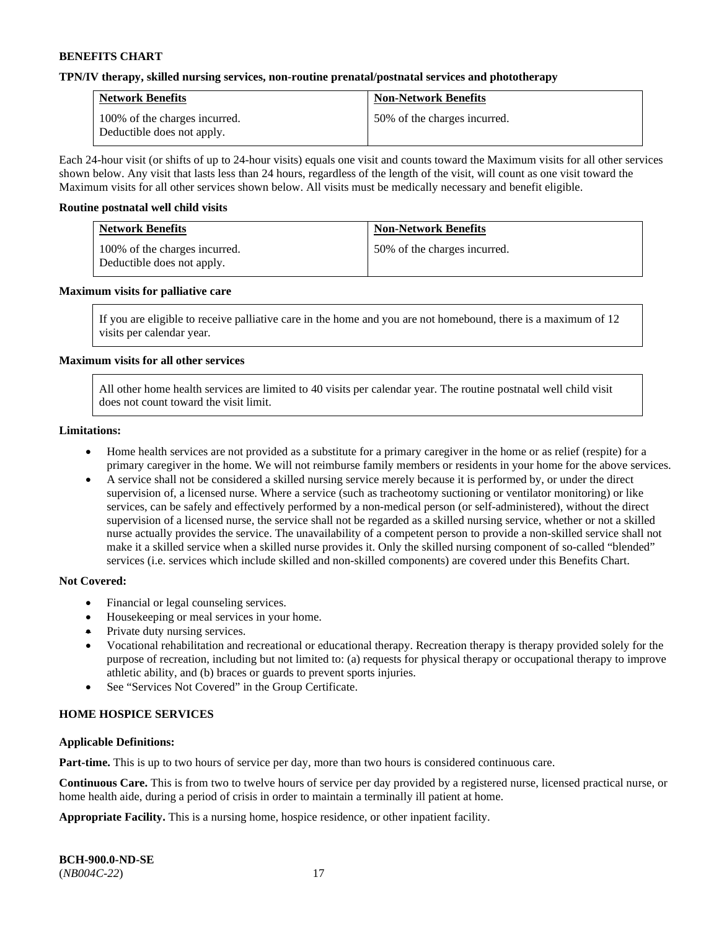#### **TPN/IV therapy, skilled nursing services, non-routine prenatal/postnatal services and phototherapy**

| <b>Network Benefits</b>                                     | <b>Non-Network Benefits</b>  |
|-------------------------------------------------------------|------------------------------|
| 100% of the charges incurred.<br>Deductible does not apply. | 50% of the charges incurred. |

Each 24-hour visit (or shifts of up to 24-hour visits) equals one visit and counts toward the Maximum visits for all other services shown below. Any visit that lasts less than 24 hours, regardless of the length of the visit, will count as one visit toward the Maximum visits for all other services shown below. All visits must be medically necessary and benefit eligible.

#### **Routine postnatal well child visits**

| <b>Network Benefits</b>                                     | <b>Non-Network Benefits</b>  |
|-------------------------------------------------------------|------------------------------|
| 100% of the charges incurred.<br>Deductible does not apply. | 50% of the charges incurred. |

#### **Maximum visits for palliative care**

If you are eligible to receive palliative care in the home and you are not homebound, there is a maximum of 12 visits per calendar year.

### **Maximum visits for all other services**

All other home health services are limited to 40 visits per calendar year. The routine postnatal well child visit does not count toward the visit limit.

#### **Limitations:**

- Home health services are not provided as a substitute for a primary caregiver in the home or as relief (respite) for a primary caregiver in the home. We will not reimburse family members or residents in your home for the above services.
- A service shall not be considered a skilled nursing service merely because it is performed by, or under the direct supervision of, a licensed nurse. Where a service (such as tracheotomy suctioning or ventilator monitoring) or like services, can be safely and effectively performed by a non-medical person (or self-administered), without the direct supervision of a licensed nurse, the service shall not be regarded as a skilled nursing service, whether or not a skilled nurse actually provides the service. The unavailability of a competent person to provide a non-skilled service shall not make it a skilled service when a skilled nurse provides it. Only the skilled nursing component of so-called "blended" services (i.e. services which include skilled and non-skilled components) are covered under this Benefits Chart.

#### **Not Covered:**

- Financial or legal counseling services.
- Housekeeping or meal services in your home.
- Private duty nursing services.
- Vocational rehabilitation and recreational or educational therapy. Recreation therapy is therapy provided solely for the purpose of recreation, including but not limited to: (a) requests for physical therapy or occupational therapy to improve athletic ability, and (b) braces or guards to prevent sports injuries.
- See "Services Not Covered" in the Group Certificate.

### **HOME HOSPICE SERVICES**

#### **Applicable Definitions:**

**Part-time.** This is up to two hours of service per day, more than two hours is considered continuous care.

**Continuous Care.** This is from two to twelve hours of service per day provided by a registered nurse, licensed practical nurse, or home health aide, during a period of crisis in order to maintain a terminally ill patient at home.

**Appropriate Facility.** This is a nursing home, hospice residence, or other inpatient facility.

| <b>BCH-900.0-ND-SE</b> |  |
|------------------------|--|
| $(NB004C-22)$          |  |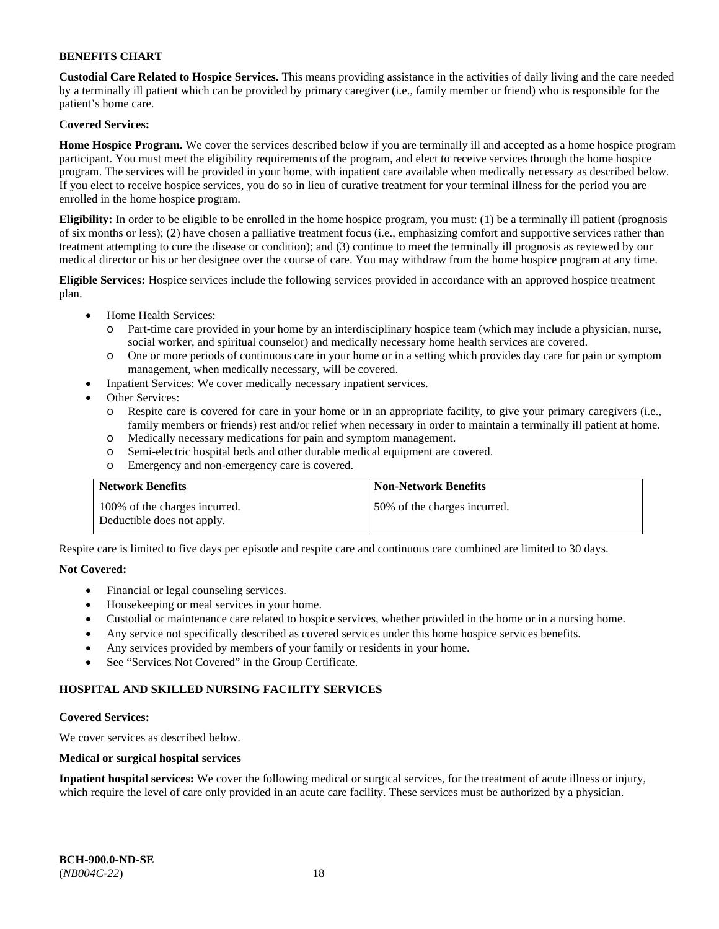**Custodial Care Related to Hospice Services.** This means providing assistance in the activities of daily living and the care needed by a terminally ill patient which can be provided by primary caregiver (i.e., family member or friend) who is responsible for the patient's home care.

# **Covered Services:**

**Home Hospice Program.** We cover the services described below if you are terminally ill and accepted as a home hospice program participant. You must meet the eligibility requirements of the program, and elect to receive services through the home hospice program. The services will be provided in your home, with inpatient care available when medically necessary as described below. If you elect to receive hospice services, you do so in lieu of curative treatment for your terminal illness for the period you are enrolled in the home hospice program.

**Eligibility:** In order to be eligible to be enrolled in the home hospice program, you must: (1) be a terminally ill patient (prognosis of six months or less); (2) have chosen a palliative treatment focus (i.e., emphasizing comfort and supportive services rather than treatment attempting to cure the disease or condition); and (3) continue to meet the terminally ill prognosis as reviewed by our medical director or his or her designee over the course of care. You may withdraw from the home hospice program at any time.

**Eligible Services:** Hospice services include the following services provided in accordance with an approved hospice treatment plan.

- Home Health Services:
	- o Part-time care provided in your home by an interdisciplinary hospice team (which may include a physician, nurse, social worker, and spiritual counselor) and medically necessary home health services are covered.
	- o One or more periods of continuous care in your home or in a setting which provides day care for pain or symptom management, when medically necessary, will be covered.
	- Inpatient Services: We cover medically necessary inpatient services.
- Other Services:
	- o Respite care is covered for care in your home or in an appropriate facility, to give your primary caregivers (i.e., family members or friends) rest and/or relief when necessary in order to maintain a terminally ill patient at home.
	- o Medically necessary medications for pain and symptom management.
	- o Semi-electric hospital beds and other durable medical equipment are covered.
	- o Emergency and non-emergency care is covered.

| <b>Network Benefits</b>                                     | <b>Non-Network Benefits</b>  |
|-------------------------------------------------------------|------------------------------|
| 100% of the charges incurred.<br>Deductible does not apply. | 50% of the charges incurred. |

Respite care is limited to five days per episode and respite care and continuous care combined are limited to 30 days.

### **Not Covered:**

- Financial or legal counseling services.
- Housekeeping or meal services in your home.
- Custodial or maintenance care related to hospice services, whether provided in the home or in a nursing home.
- Any service not specifically described as covered services under this home hospice services benefits.
- Any services provided by members of your family or residents in your home.
- See "Services Not Covered" in the Group Certificate.

### **HOSPITAL AND SKILLED NURSING FACILITY SERVICES**

#### **Covered Services:**

We cover services as described below.

#### **Medical or surgical hospital services**

**Inpatient hospital services:** We cover the following medical or surgical services, for the treatment of acute illness or injury, which require the level of care only provided in an acute care facility. These services must be authorized by a physician.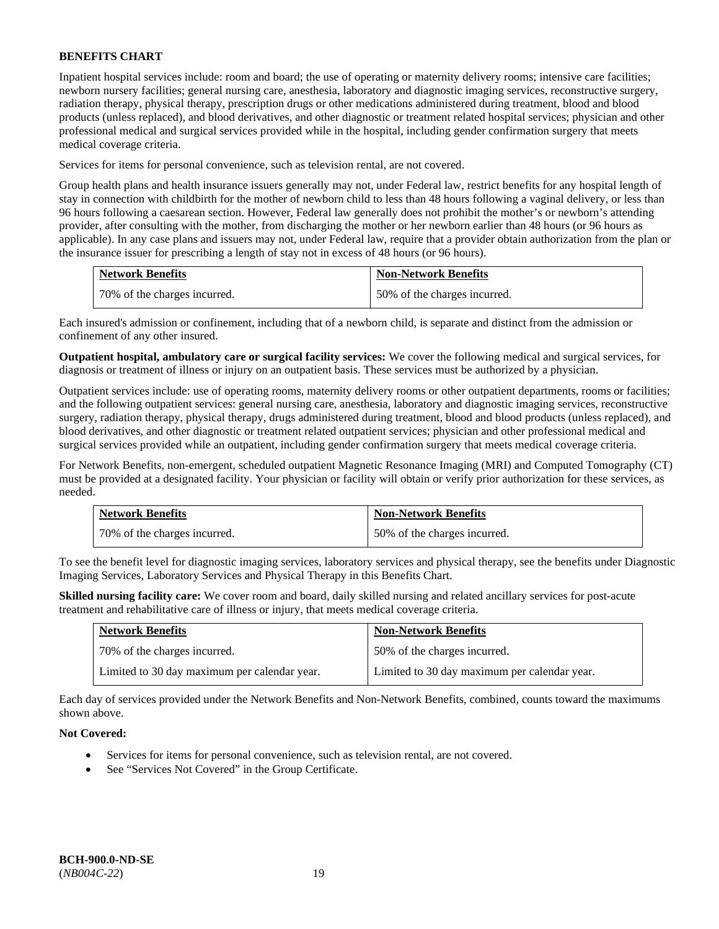Inpatient hospital services include: room and board; the use of operating or maternity delivery rooms; intensive care facilities; newborn nursery facilities; general nursing care, anesthesia, laboratory and diagnostic imaging services, reconstructive surgery, radiation therapy, physical therapy, prescription drugs or other medications administered during treatment, blood and blood products (unless replaced), and blood derivatives, and other diagnostic or treatment related hospital services; physician and other professional medical and surgical services provided while in the hospital, including gender confirmation surgery that meets medical coverage criteria.

Services for items for personal convenience, such as television rental, are not covered.

Group health plans and health insurance issuers generally may not, under Federal law, restrict benefits for any hospital length of stay in connection with childbirth for the mother of newborn child to less than 48 hours following a vaginal delivery, or less than 96 hours following a caesarean section. However, Federal law generally does not prohibit the mother's or newborn's attending provider, after consulting with the mother, from discharging the mother or her newborn earlier than 48 hours (or 96 hours as applicable). In any case plans and issuers may not, under Federal law, require that a provider obtain authorization from the plan or the insurance issuer for prescribing a length of stay not in excess of 48 hours (or 96 hours).

| <b>Network Benefits</b>      | <b>Non-Network Benefits</b>  |
|------------------------------|------------------------------|
| 70% of the charges incurred. | 50% of the charges incurred. |

Each insured's admission or confinement, including that of a newborn child, is separate and distinct from the admission or confinement of any other insured.

**Outpatient hospital, ambulatory care or surgical facility services:** We cover the following medical and surgical services, for diagnosis or treatment of illness or injury on an outpatient basis. These services must be authorized by a physician.

Outpatient services include: use of operating rooms, maternity delivery rooms or other outpatient departments, rooms or facilities; and the following outpatient services: general nursing care, anesthesia, laboratory and diagnostic imaging services, reconstructive surgery, radiation therapy, physical therapy, drugs administered during treatment, blood and blood products (unless replaced), and blood derivatives, and other diagnostic or treatment related outpatient services; physician and other professional medical and surgical services provided while an outpatient, including gender confirmation surgery that meets medical coverage criteria.

For Network Benefits, non-emergent, scheduled outpatient Magnetic Resonance Imaging (MRI) and Computed Tomography (CT) must be provided at a designated facility. Your physician or facility will obtain or verify prior authorization for these services, as needed.

| <b>Network Benefits</b>      | <b>Non-Network Benefits</b>  |
|------------------------------|------------------------------|
| 70% of the charges incurred. | 50% of the charges incurred. |

To see the benefit level for diagnostic imaging services, laboratory services and physical therapy, see the benefits under Diagnostic Imaging Services, Laboratory Services and Physical Therapy in this Benefits Chart.

**Skilled nursing facility care:** We cover room and board, daily skilled nursing and related ancillary services for post-acute treatment and rehabilitative care of illness or injury, that meets medical coverage criteria.

| <b>Network Benefits</b>                      | <b>Non-Network Benefits</b>                  |
|----------------------------------------------|----------------------------------------------|
| 70% of the charges incurred.                 | 50% of the charges incurred.                 |
| Limited to 30 day maximum per calendar year. | Limited to 30 day maximum per calendar year. |

Each day of services provided under the Network Benefits and Non-Network Benefits, combined, counts toward the maximums shown above.

### **Not Covered:**

- Services for items for personal convenience, such as television rental, are not covered.
- See "Services Not Covered" in the Group Certificate.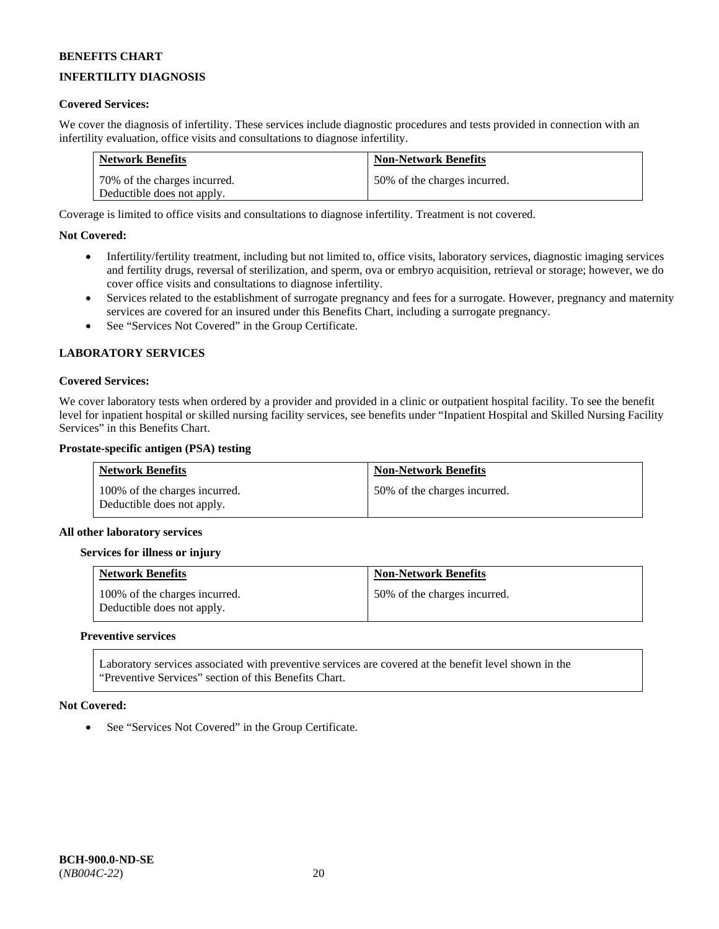# **INFERTILITY DIAGNOSIS**

### **Covered Services:**

We cover the diagnosis of infertility. These services include diagnostic procedures and tests provided in connection with an infertility evaluation, office visits and consultations to diagnose infertility.

| <b>Network Benefits</b>      | <b>Non-Network Benefits</b>  |
|------------------------------|------------------------------|
| 70% of the charges incurred. | 50% of the charges incurred. |
| Deductible does not apply.   |                              |

Coverage is limited to office visits and consultations to diagnose infertility. Treatment is not covered.

### **Not Covered:**

- Infertility/fertility treatment, including but not limited to, office visits, laboratory services, diagnostic imaging services and fertility drugs, reversal of sterilization, and sperm, ova or embryo acquisition, retrieval or storage; however, we do cover office visits and consultations to diagnose infertility.
- Services related to the establishment of surrogate pregnancy and fees for a surrogate. However, pregnancy and maternity services are covered for an insured under this Benefits Chart, including a surrogate pregnancy.
- See "Services Not Covered" in the Group Certificate.

### **LABORATORY SERVICES**

#### **Covered Services:**

We cover laboratory tests when ordered by a provider and provided in a clinic or outpatient hospital facility. To see the benefit level for inpatient hospital or skilled nursing facility services, see benefits under "Inpatient Hospital and Skilled Nursing Facility Services" in this Benefits Chart.

#### **Prostate-specific antigen (PSA) testing**

| <b>Network Benefits</b>                                     | <b>Non-Network Benefits</b>  |
|-------------------------------------------------------------|------------------------------|
| 100% of the charges incurred.<br>Deductible does not apply. | 50% of the charges incurred. |

#### **All other laboratory services**

#### **Services for illness or injury**

| <b>Network Benefits</b>                                     | <b>Non-Network Benefits</b>  |
|-------------------------------------------------------------|------------------------------|
| 100% of the charges incurred.<br>Deductible does not apply. | 50% of the charges incurred. |

#### **Preventive services**

Laboratory services associated with preventive services are covered at the benefit level shown in the "Preventive Services" section of this Benefits Chart.

#### **Not Covered:**

See "Services Not Covered" in the Group Certificate.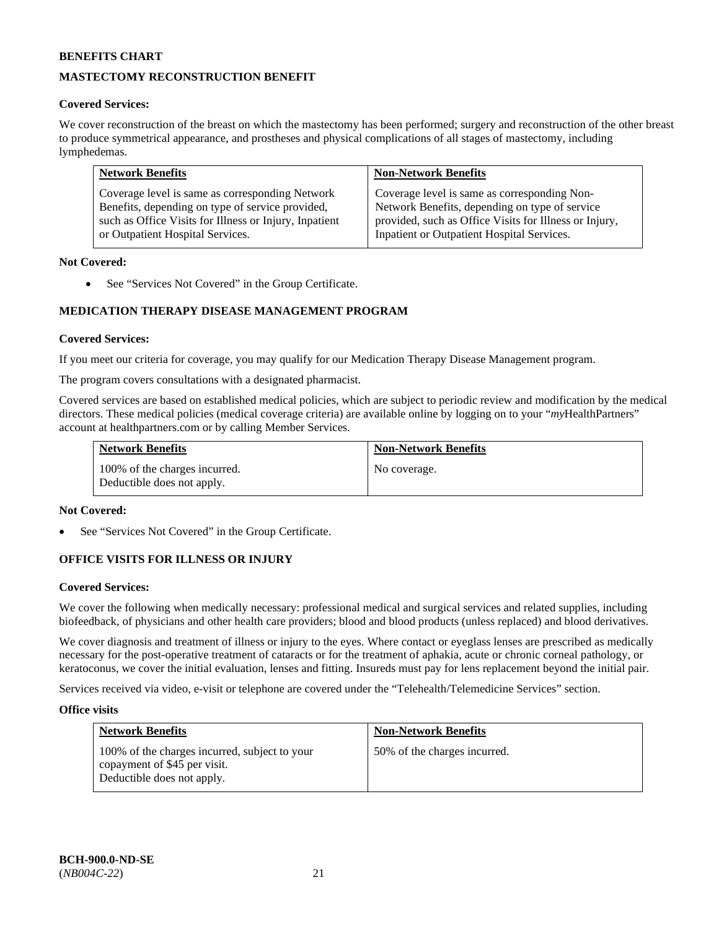# **MASTECTOMY RECONSTRUCTION BENEFIT**

### **Covered Services:**

We cover reconstruction of the breast on which the mastectomy has been performed; surgery and reconstruction of the other breast to produce symmetrical appearance, and prostheses and physical complications of all stages of mastectomy, including lymphedemas.

| <b>Network Benefits</b>                                | <b>Non-Network Benefits</b>                            |
|--------------------------------------------------------|--------------------------------------------------------|
| Coverage level is same as corresponding Network        | Coverage level is same as corresponding Non-           |
| Benefits, depending on type of service provided,       | Network Benefits, depending on type of service         |
| such as Office Visits for Illness or Injury, Inpatient | provided, such as Office Visits for Illness or Injury, |
| or Outpatient Hospital Services.                       | Inpatient or Outpatient Hospital Services.             |

### **Not Covered:**

• See "Services Not Covered" in the Group Certificate.

# **MEDICATION THERAPY DISEASE MANAGEMENT PROGRAM**

### **Covered Services:**

If you meet our criteria for coverage, you may qualify for our Medication Therapy Disease Management program.

The program covers consultations with a designated pharmacist.

Covered services are based on established medical policies, which are subject to periodic review and modification by the medical directors. These medical policies (medical coverage criteria) are available online by logging on to your "*my*HealthPartners" account a[t healthpartners.com](http://www.healthpartners.com/) or by calling Member Services.

| <b>Network Benefits</b>                                     | <b>Non-Network Benefits</b> |
|-------------------------------------------------------------|-----------------------------|
| 100% of the charges incurred.<br>Deductible does not apply. | No coverage.                |

#### **Not Covered:**

See "Services Not Covered" in the Group Certificate.

### **OFFICE VISITS FOR ILLNESS OR INJURY**

#### **Covered Services:**

We cover the following when medically necessary: professional medical and surgical services and related supplies, including biofeedback, of physicians and other health care providers; blood and blood products (unless replaced) and blood derivatives.

We cover diagnosis and treatment of illness or injury to the eyes. Where contact or eyeglass lenses are prescribed as medically necessary for the post-operative treatment of cataracts or for the treatment of aphakia, acute or chronic corneal pathology, or keratoconus, we cover the initial evaluation, lenses and fitting. Insureds must pay for lens replacement beyond the initial pair.

Services received via video, e-visit or telephone are covered under the "Telehealth/Telemedicine Services" section.

#### **Office visits**

| <b>Network Benefits</b>                                                                                     | <b>Non-Network Benefits</b>  |
|-------------------------------------------------------------------------------------------------------------|------------------------------|
| 100% of the charges incurred, subject to your<br>copayment of \$45 per visit.<br>Deductible does not apply. | 50% of the charges incurred. |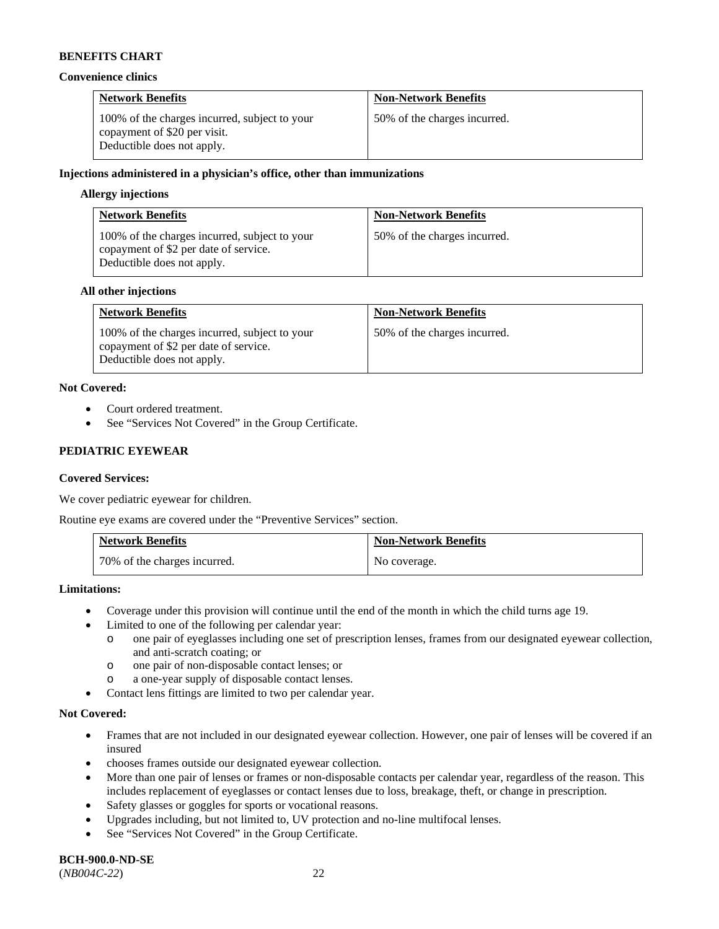#### **Convenience clinics**

| <b>Network Benefits</b>                                                                                     | <b>Non-Network Benefits</b>  |
|-------------------------------------------------------------------------------------------------------------|------------------------------|
| 100% of the charges incurred, subject to your<br>copayment of \$20 per visit.<br>Deductible does not apply. | 50% of the charges incurred. |

### **Injections administered in a physician's office, other than immunizations**

#### **Allergy injections**

| <b>Network Benefits</b>                                                                                              | <b>Non-Network Benefits</b>  |
|----------------------------------------------------------------------------------------------------------------------|------------------------------|
| 100% of the charges incurred, subject to your<br>copayment of \$2 per date of service.<br>Deductible does not apply. | 50% of the charges incurred. |

#### **All other injections**

| <b>Network Benefits</b>                                                                                              | <b>Non-Network Benefits</b>  |
|----------------------------------------------------------------------------------------------------------------------|------------------------------|
| 100% of the charges incurred, subject to your<br>copayment of \$2 per date of service.<br>Deductible does not apply. | 50% of the charges incurred. |

### **Not Covered:**

- Court ordered treatment.
- See "Services Not Covered" in the Group Certificate.

### **PEDIATRIC EYEWEAR**

### **Covered Services:**

We cover pediatric eyewear for children.

Routine eye exams are covered under the "Preventive Services" section.

| <b>Network Benefits</b>      | <b>Non-Network Benefits</b> |
|------------------------------|-----------------------------|
| 70% of the charges incurred. | No coverage.                |

#### **Limitations:**

- Coverage under this provision will continue until the end of the month in which the child turns age 19.
- Limited to one of the following per calendar year:
	- o one pair of eyeglasses including one set of prescription lenses, frames from our designated eyewear collection, and anti-scratch coating; or
	- o one pair of non-disposable contact lenses; or
	- o a one-year supply of disposable contact lenses.
- Contact lens fittings are limited to two per calendar year.

#### **Not Covered:**

- Frames that are not included in our designated eyewear collection. However, one pair of lenses will be covered if an insured
- chooses frames outside our designated eyewear collection.
- More than one pair of lenses or frames or non-disposable contacts per calendar year, regardless of the reason. This includes replacement of eyeglasses or contact lenses due to loss, breakage, theft, or change in prescription.
- Safety glasses or goggles for sports or vocational reasons.
- Upgrades including, but not limited to, UV protection and no-line multifocal lenses.
- See "Services Not Covered" in the Group Certificate.

**BCH-900.0-ND-SE** (*NB004C-22*) 22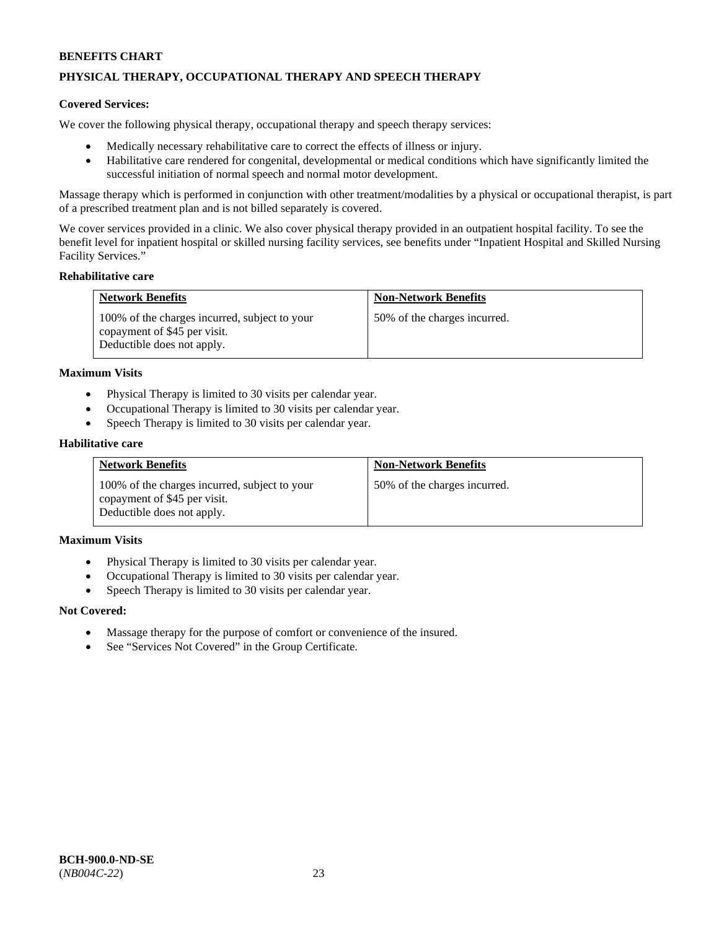# **PHYSICAL THERAPY, OCCUPATIONAL THERAPY AND SPEECH THERAPY**

#### **Covered Services:**

We cover the following physical therapy, occupational therapy and speech therapy services:

- Medically necessary rehabilitative care to correct the effects of illness or injury.
- Habilitative care rendered for congenital, developmental or medical conditions which have significantly limited the successful initiation of normal speech and normal motor development.

Massage therapy which is performed in conjunction with other treatment/modalities by a physical or occupational therapist, is part of a prescribed treatment plan and is not billed separately is covered.

We cover services provided in a clinic. We also cover physical therapy provided in an outpatient hospital facility. To see the benefit level for inpatient hospital or skilled nursing facility services, see benefits under "Inpatient Hospital and Skilled Nursing Facility Services."

#### **Rehabilitative care**

| <b>Network Benefits</b>                                                                                     | <b>Non-Network Benefits</b>  |
|-------------------------------------------------------------------------------------------------------------|------------------------------|
| 100% of the charges incurred, subject to your<br>copayment of \$45 per visit.<br>Deductible does not apply. | 50% of the charges incurred. |

#### **Maximum Visits**

- Physical Therapy is limited to 30 visits per calendar year.
- Occupational Therapy is limited to 30 visits per calendar year.
- Speech Therapy is limited to 30 visits per calendar year.

#### **Habilitative care**

| <b>Network Benefits</b>                                                                                     | <b>Non-Network Benefits</b>  |
|-------------------------------------------------------------------------------------------------------------|------------------------------|
| 100% of the charges incurred, subject to your<br>copayment of \$45 per visit.<br>Deductible does not apply. | 50% of the charges incurred. |

#### **Maximum Visits**

- Physical Therapy is limited to 30 visits per calendar year.
- Occupational Therapy is limited to 30 visits per calendar year.
- Speech Therapy is limited to 30 visits per calendar year.

#### **Not Covered:**

- Massage therapy for the purpose of comfort or convenience of the insured.
- See "Services Not Covered" in the Group Certificate.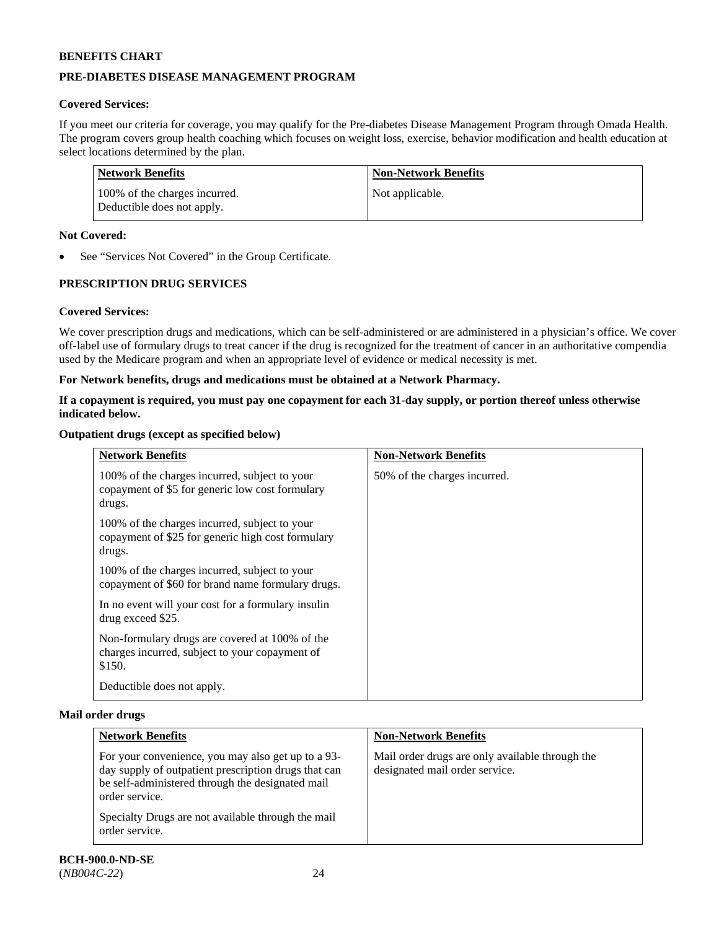# **PRE-DIABETES DISEASE MANAGEMENT PROGRAM**

# **Covered Services:**

If you meet our criteria for coverage, you may qualify for the Pre-diabetes Disease Management Program through Omada Health. The program covers group health coaching which focuses on weight loss, exercise, behavior modification and health education at select locations determined by the plan.

| Network Benefits                                            | <b>Non-Network Benefits</b> |
|-------------------------------------------------------------|-----------------------------|
| 100% of the charges incurred.<br>Deductible does not apply. | Not applicable.             |

### **Not Covered:**

See "Services Not Covered" in the Group Certificate.

# **PRESCRIPTION DRUG SERVICES**

### **Covered Services:**

We cover prescription drugs and medications, which can be self-administered or are administered in a physician's office. We cover off-label use of formulary drugs to treat cancer if the drug is recognized for the treatment of cancer in an authoritative compendia used by the Medicare program and when an appropriate level of evidence or medical necessity is met.

### **For Network benefits, drugs and medications must be obtained at a Network Pharmacy.**

### **If a copayment is required, you must pay one copayment for each 31-day supply, or portion thereof unless otherwise indicated below.**

### **Outpatient drugs (except as specified below)**

| <b>Network Benefits</b>                                                                                      | <b>Non-Network Benefits</b>  |
|--------------------------------------------------------------------------------------------------------------|------------------------------|
| 100% of the charges incurred, subject to your<br>copayment of \$5 for generic low cost formulary<br>drugs.   | 50% of the charges incurred. |
| 100% of the charges incurred, subject to your<br>copayment of \$25 for generic high cost formulary<br>drugs. |                              |
| 100% of the charges incurred, subject to your<br>copayment of \$60 for brand name formulary drugs.           |                              |
| In no event will your cost for a formulary insuline<br>drug exceed \$25.                                     |                              |
| Non-formulary drugs are covered at 100% of the<br>charges incurred, subject to your copayment of<br>\$150.   |                              |
| Deductible does not apply.                                                                                   |                              |

#### **Mail order drugs**

| <b>Network Benefits</b>                                                                                                                                                          | <b>Non-Network Benefits</b>                                                       |
|----------------------------------------------------------------------------------------------------------------------------------------------------------------------------------|-----------------------------------------------------------------------------------|
| For your convenience, you may also get up to a 93-<br>day supply of outpatient prescription drugs that can<br>be self-administered through the designated mail<br>order service. | Mail order drugs are only available through the<br>designated mail order service. |
| Specialty Drugs are not available through the mail<br>order service.                                                                                                             |                                                                                   |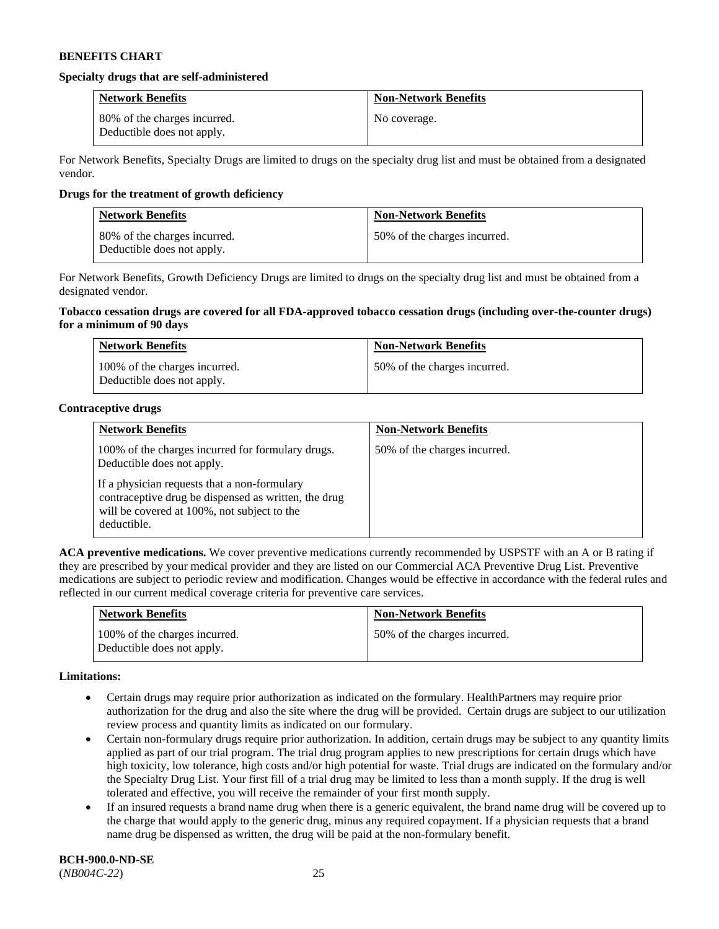#### **Specialty drugs that are self-administered**

| <b>Network Benefits</b>                                    | <b>Non-Network Benefits</b> |
|------------------------------------------------------------|-----------------------------|
| 80% of the charges incurred.<br>Deductible does not apply. | No coverage.                |

For Network Benefits, Specialty Drugs are limited to drugs on the specialty drug list and must be obtained from a designated vendor.

### **Drugs for the treatment of growth deficiency**

| <b>Network Benefits</b>                                    | <b>Non-Network Benefits</b>  |
|------------------------------------------------------------|------------------------------|
| 80% of the charges incurred.<br>Deductible does not apply. | 50% of the charges incurred. |

For Network Benefits, Growth Deficiency Drugs are limited to drugs on the specialty drug list and must be obtained from a designated vendor.

#### **Tobacco cessation drugs are covered for all FDA-approved tobacco cessation drugs (including over-the-counter drugs) for a minimum of 90 days**

| <b>Network Benefits</b>                                     | <b>Non-Network Benefits</b>  |
|-------------------------------------------------------------|------------------------------|
| 100% of the charges incurred.<br>Deductible does not apply. | 50% of the charges incurred. |

### **Contraceptive drugs**

| <b>Network Benefits</b>                                                                                                                                            | <b>Non-Network Benefits</b>  |
|--------------------------------------------------------------------------------------------------------------------------------------------------------------------|------------------------------|
| 100% of the charges incurred for formulary drugs.<br>Deductible does not apply.                                                                                    | 50% of the charges incurred. |
| If a physician requests that a non-formulary<br>contraceptive drug be dispensed as written, the drug<br>will be covered at 100%, not subject to the<br>deductible. |                              |

**ACA preventive medications.** We cover preventive medications currently recommended by USPSTF with an A or B rating if they are prescribed by your medical provider and they are listed on our Commercial ACA Preventive Drug List. Preventive medications are subject to periodic review and modification. Changes would be effective in accordance with the federal rules and reflected in our current medical coverage criteria for preventive care services.

| <b>Network Benefits</b>                                     | <b>Non-Network Benefits</b>  |
|-------------------------------------------------------------|------------------------------|
| 100% of the charges incurred.<br>Deductible does not apply. | 50% of the charges incurred. |

#### **Limitations:**

- Certain drugs may require prior authorization as indicated on the formulary. HealthPartners may require prior authorization for the drug and also the site where the drug will be provided. Certain drugs are subject to our utilization review process and quantity limits as indicated on our formulary.
- Certain non-formulary drugs require prior authorization. In addition, certain drugs may be subject to any quantity limits applied as part of our trial program. The trial drug program applies to new prescriptions for certain drugs which have high toxicity, low tolerance, high costs and/or high potential for waste. Trial drugs are indicated on the formulary and/or the Specialty Drug List. Your first fill of a trial drug may be limited to less than a month supply. If the drug is well tolerated and effective, you will receive the remainder of your first month supply.
- If an insured requests a brand name drug when there is a generic equivalent, the brand name drug will be covered up to the charge that would apply to the generic drug, minus any required copayment. If a physician requests that a brand name drug be dispensed as written, the drug will be paid at the non-formulary benefit.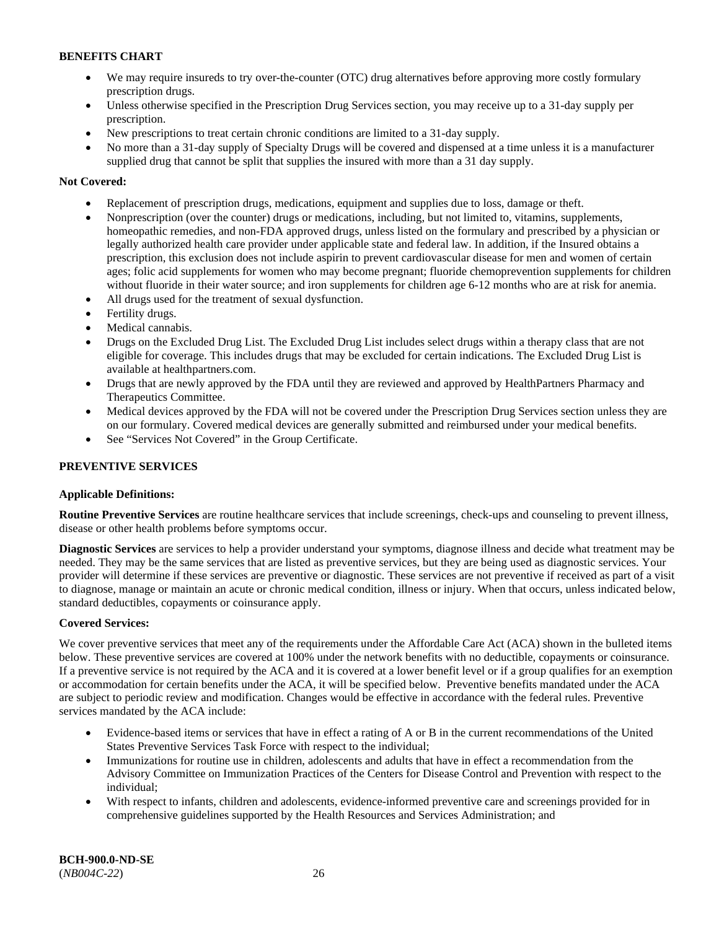- We may require insureds to try over-the-counter (OTC) drug alternatives before approving more costly formulary prescription drugs.
- Unless otherwise specified in the Prescription Drug Services section, you may receive up to a 31-day supply per prescription.
- New prescriptions to treat certain chronic conditions are limited to a 31-day supply.
- No more than a 31-day supply of Specialty Drugs will be covered and dispensed at a time unless it is a manufacturer supplied drug that cannot be split that supplies the insured with more than a 31 day supply.

# **Not Covered:**

- Replacement of prescription drugs, medications, equipment and supplies due to loss, damage or theft.
- Nonprescription (over the counter) drugs or medications, including, but not limited to, vitamins, supplements, homeopathic remedies, and non-FDA approved drugs, unless listed on the formulary and prescribed by a physician or legally authorized health care provider under applicable state and federal law. In addition, if the Insured obtains a prescription, this exclusion does not include aspirin to prevent cardiovascular disease for men and women of certain ages; folic acid supplements for women who may become pregnant; fluoride chemoprevention supplements for children without fluoride in their water source; and iron supplements for children age 6-12 months who are at risk for anemia.
- All drugs used for the treatment of sexual dysfunction.
- Fertility drugs.
- Medical cannabis.
- Drugs on the Excluded Drug List. The Excluded Drug List includes select drugs within a therapy class that are not eligible for coverage. This includes drugs that may be excluded for certain indications. The Excluded Drug List is available at [healthpartners.com.](http://www.healthpartners.com/)
- Drugs that are newly approved by the FDA until they are reviewed and approved by HealthPartners Pharmacy and Therapeutics Committee.
- Medical devices approved by the FDA will not be covered under the Prescription Drug Services section unless they are on our formulary. Covered medical devices are generally submitted and reimbursed under your medical benefits.
- See "Services Not Covered" in the Group Certificate.

# **PREVENTIVE SERVICES**

### **Applicable Definitions:**

**Routine Preventive Services** are routine healthcare services that include screenings, check-ups and counseling to prevent illness, disease or other health problems before symptoms occur.

**Diagnostic Services** are services to help a provider understand your symptoms, diagnose illness and decide what treatment may be needed. They may be the same services that are listed as preventive services, but they are being used as diagnostic services. Your provider will determine if these services are preventive or diagnostic. These services are not preventive if received as part of a visit to diagnose, manage or maintain an acute or chronic medical condition, illness or injury. When that occurs, unless indicated below, standard deductibles, copayments or coinsurance apply.

### **Covered Services:**

We cover preventive services that meet any of the requirements under the Affordable Care Act (ACA) shown in the bulleted items below. These preventive services are covered at 100% under the network benefits with no deductible, copayments or coinsurance. If a preventive service is not required by the ACA and it is covered at a lower benefit level or if a group qualifies for an exemption or accommodation for certain benefits under the ACA, it will be specified below. Preventive benefits mandated under the ACA are subject to periodic review and modification. Changes would be effective in accordance with the federal rules. Preventive services mandated by the ACA include:

- Evidence-based items or services that have in effect a rating of A or B in the current recommendations of the United States Preventive Services Task Force with respect to the individual;
- Immunizations for routine use in children, adolescents and adults that have in effect a recommendation from the Advisory Committee on Immunization Practices of the Centers for Disease Control and Prevention with respect to the individual;
- With respect to infants, children and adolescents, evidence-informed preventive care and screenings provided for in comprehensive guidelines supported by the Health Resources and Services Administration; and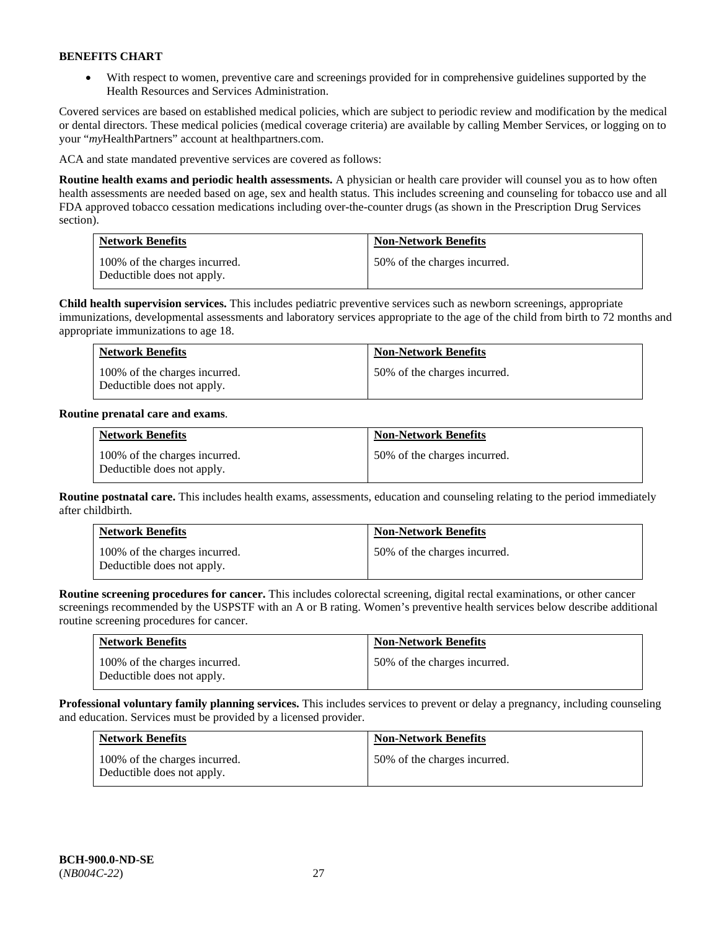• With respect to women, preventive care and screenings provided for in comprehensive guidelines supported by the Health Resources and Services Administration.

Covered services are based on established medical policies, which are subject to periodic review and modification by the medical or dental directors. These medical policies (medical coverage criteria) are available by calling Member Services, or logging on to your "*my*HealthPartners" account at [healthpartners.com.](http://www.healthpartners.com/) 

ACA and state mandated preventive services are covered as follows:

**Routine health exams and periodic health assessments.** A physician or health care provider will counsel you as to how often health assessments are needed based on age, sex and health status. This includes screening and counseling for tobacco use and all FDA approved tobacco cessation medications including over-the-counter drugs (as shown in the Prescription Drug Services section).

| <b>Network Benefits</b>                                     | <b>Non-Network Benefits</b>  |
|-------------------------------------------------------------|------------------------------|
| 100% of the charges incurred.<br>Deductible does not apply. | 50% of the charges incurred. |

**Child health supervision services.** This includes pediatric preventive services such as newborn screenings, appropriate immunizations, developmental assessments and laboratory services appropriate to the age of the child from birth to 72 months and appropriate immunizations to age 18.

| <b>Network Benefits</b>                                     | <b>Non-Network Benefits</b>  |
|-------------------------------------------------------------|------------------------------|
| 100% of the charges incurred.<br>Deductible does not apply. | 50% of the charges incurred. |

### **Routine prenatal care and exams**.

| <b>Network Benefits</b>                                     | <b>Non-Network Benefits</b>  |
|-------------------------------------------------------------|------------------------------|
| 100% of the charges incurred.<br>Deductible does not apply. | 50% of the charges incurred. |

**Routine postnatal care.** This includes health exams, assessments, education and counseling relating to the period immediately after childbirth.

| <b>Network Benefits</b>                                     | <b>Non-Network Benefits</b>  |
|-------------------------------------------------------------|------------------------------|
| 100% of the charges incurred.<br>Deductible does not apply. | 50% of the charges incurred. |

**Routine screening procedures for cancer.** This includes colorectal screening, digital rectal examinations, or other cancer screenings recommended by the USPSTF with an A or B rating. Women's preventive health services below describe additional routine screening procedures for cancer.

| <b>Network Benefits</b>                                     | <b>Non-Network Benefits</b>  |
|-------------------------------------------------------------|------------------------------|
| 100% of the charges incurred.<br>Deductible does not apply. | 50% of the charges incurred. |

**Professional voluntary family planning services.** This includes services to prevent or delay a pregnancy, including counseling and education. Services must be provided by a licensed provider.

| <b>Network Benefits</b>                                     | <b>Non-Network Benefits</b>  |
|-------------------------------------------------------------|------------------------------|
| 100% of the charges incurred.<br>Deductible does not apply. | 50% of the charges incurred. |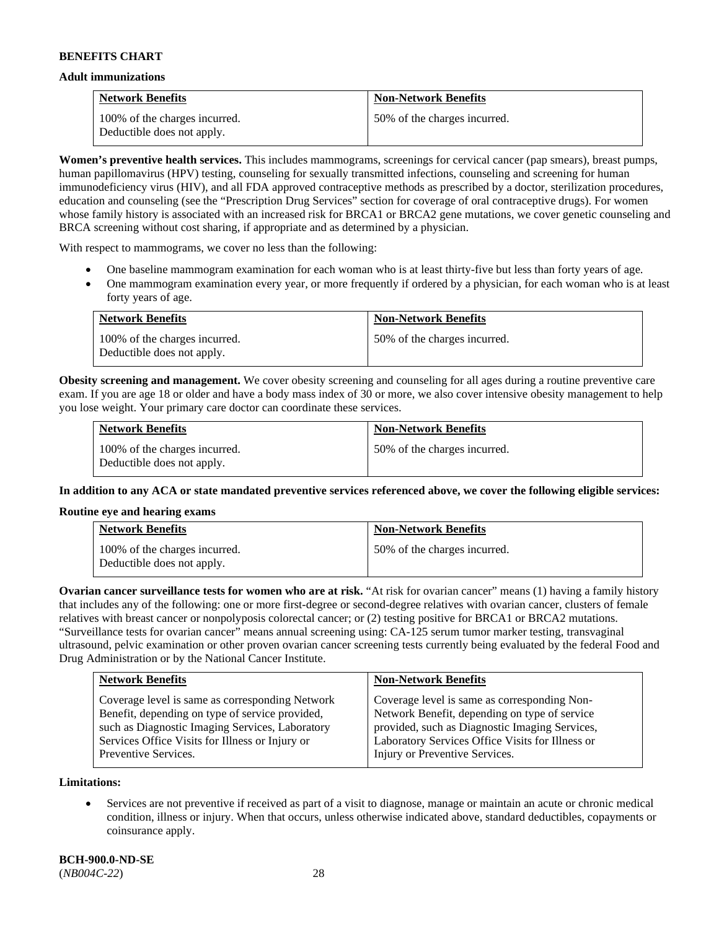#### **Adult immunizations**

| <b>Network Benefits</b>                                     | <b>Non-Network Benefits</b>  |
|-------------------------------------------------------------|------------------------------|
| 100% of the charges incurred.<br>Deductible does not apply. | 50% of the charges incurred. |

**Women's preventive health services.** This includes mammograms, screenings for cervical cancer (pap smears), breast pumps, human papillomavirus (HPV) testing, counseling for sexually transmitted infections, counseling and screening for human immunodeficiency virus (HIV), and all FDA approved contraceptive methods as prescribed by a doctor, sterilization procedures, education and counseling (see the "Prescription Drug Services" section for coverage of oral contraceptive drugs). For women whose family history is associated with an increased risk for BRCA1 or BRCA2 gene mutations, we cover genetic counseling and BRCA screening without cost sharing, if appropriate and as determined by a physician.

With respect to mammograms, we cover no less than the following:

- One baseline mammogram examination for each woman who is at least thirty-five but less than forty years of age.
- One mammogram examination every year, or more frequently if ordered by a physician, for each woman who is at least forty years of age.

| <b>Network Benefits</b>                                     | <b>Non-Network Benefits</b>  |
|-------------------------------------------------------------|------------------------------|
| 100% of the charges incurred.<br>Deductible does not apply. | 50% of the charges incurred. |

**Obesity screening and management.** We cover obesity screening and counseling for all ages during a routine preventive care exam. If you are age 18 or older and have a body mass index of 30 or more, we also cover intensive obesity management to help you lose weight. Your primary care doctor can coordinate these services.

| <b>Network Benefits</b>                                     | <b>Non-Network Benefits</b>  |
|-------------------------------------------------------------|------------------------------|
| 100% of the charges incurred.<br>Deductible does not apply. | 50% of the charges incurred. |

**In addition to any ACA or state mandated preventive services referenced above, we cover the following eligible services:**

#### **Routine eye and hearing exams**

| <b>Network Benefits</b>                                     | <b>Non-Network Benefits</b>  |
|-------------------------------------------------------------|------------------------------|
| 100% of the charges incurred.<br>Deductible does not apply. | 50% of the charges incurred. |

**Ovarian cancer surveillance tests for women who are at risk.** "At risk for ovarian cancer" means (1) having a family history that includes any of the following: one or more first-degree or second-degree relatives with ovarian cancer, clusters of female relatives with breast cancer or nonpolyposis colorectal cancer; or (2) testing positive for BRCA1 or BRCA2 mutations. "Surveillance tests for ovarian cancer" means annual screening using: CA-125 serum tumor marker testing, transvaginal ultrasound, pelvic examination or other proven ovarian cancer screening tests currently being evaluated by the federal Food and Drug Administration or by the National Cancer Institute.

| Coverage level is same as corresponding Network<br>Coverage level is same as corresponding Non-<br>Network Benefit, depending on type of service<br>Benefit, depending on type of service provided,<br>provided, such as Diagnostic Imaging Services,<br>such as Diagnostic Imaging Services, Laboratory<br>Laboratory Services Office Visits for Illness or<br>Services Office Visits for Illness or Injury or | <b>Network Benefits</b> | <b>Non-Network Benefits</b>    |
|-----------------------------------------------------------------------------------------------------------------------------------------------------------------------------------------------------------------------------------------------------------------------------------------------------------------------------------------------------------------------------------------------------------------|-------------------------|--------------------------------|
|                                                                                                                                                                                                                                                                                                                                                                                                                 | Preventive Services.    | Injury or Preventive Services. |

**Limitations:**

• Services are not preventive if received as part of a visit to diagnose, manage or maintain an acute or chronic medical condition, illness or injury. When that occurs, unless otherwise indicated above, standard deductibles, copayments or coinsurance apply.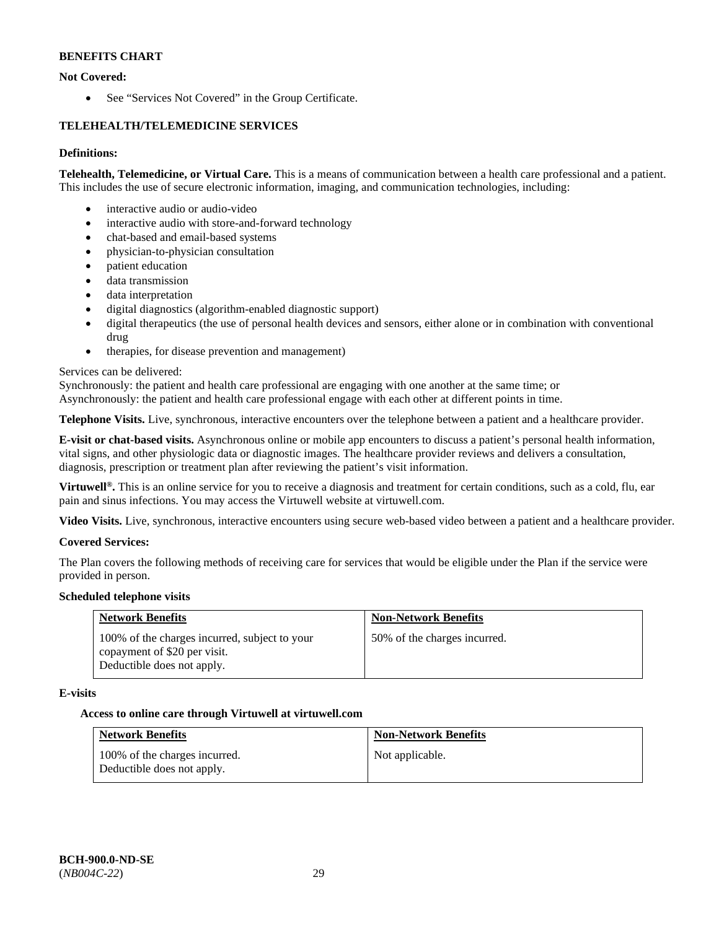# **Not Covered:**

• See "Services Not Covered" in the Group Certificate.

# **TELEHEALTH/TELEMEDICINE SERVICES**

### **Definitions:**

**Telehealth, Telemedicine, or Virtual Care.** This is a means of communication between a health care professional and a patient. This includes the use of secure electronic information, imaging, and communication technologies, including:

- interactive audio or audio-video
- interactive audio with store-and-forward technology
- chat-based and email-based systems
- physician-to-physician consultation
- patient education
- data transmission
- data interpretation
- digital diagnostics (algorithm-enabled diagnostic support)
- digital therapeutics (the use of personal health devices and sensors, either alone or in combination with conventional drug
- therapies, for disease prevention and management)

### Services can be delivered:

Synchronously: the patient and health care professional are engaging with one another at the same time; or

Asynchronously: the patient and health care professional engage with each other at different points in time.

**Telephone Visits.** Live, synchronous, interactive encounters over the telephone between a patient and a healthcare provider.

**E-visit or chat-based visits.** Asynchronous online or mobile app encounters to discuss a patient's personal health information, vital signs, and other physiologic data or diagnostic images. The healthcare provider reviews and delivers a consultation, diagnosis, prescription or treatment plan after reviewing the patient's visit information.

**Virtuwell®.** This is an online service for you to receive a diagnosis and treatment for certain conditions, such as a cold, flu, ear pain and sinus infections. You may access the Virtuwell website at [virtuwell.com.](https://www.virtuwell.com/)

**Video Visits.** Live, synchronous, interactive encounters using secure web-based video between a patient and a healthcare provider.

### **Covered Services:**

The Plan covers the following methods of receiving care for services that would be eligible under the Plan if the service were provided in person.

### **Scheduled telephone visits**

| <b>Network Benefits</b>                                                                                     | <b>Non-Network Benefits</b>  |
|-------------------------------------------------------------------------------------------------------------|------------------------------|
| 100% of the charges incurred, subject to your<br>copayment of \$20 per visit.<br>Deductible does not apply. | 50% of the charges incurred. |

### **E-visits**

### **Access to online care through Virtuwell at [virtuwell.com](https://www.virtuwell.com/)**

| <b>Network Benefits</b>                                     | <b>Non-Network Benefits</b> |
|-------------------------------------------------------------|-----------------------------|
| 100% of the charges incurred.<br>Deductible does not apply. | Not applicable.             |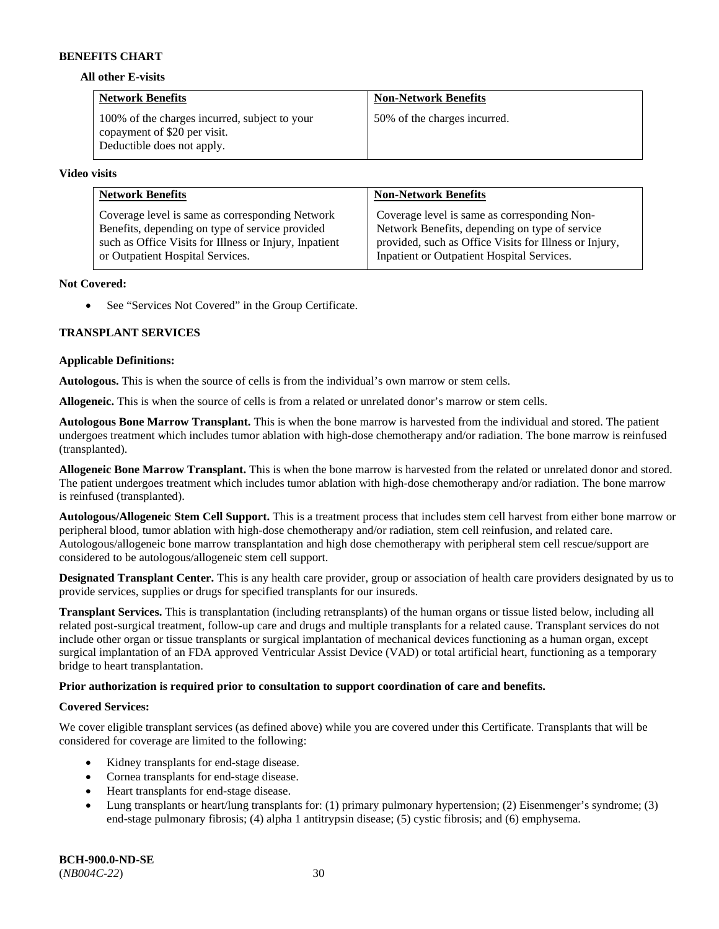#### **All other E-visits**

| <b>Network Benefits</b>                                                                                     | <b>Non-Network Benefits</b>  |
|-------------------------------------------------------------------------------------------------------------|------------------------------|
| 100% of the charges incurred, subject to your<br>copayment of \$20 per visit.<br>Deductible does not apply. | 50% of the charges incurred. |

#### **Video visits**

| <b>Network Benefits</b>                                | <b>Non-Network Benefits</b>                            |
|--------------------------------------------------------|--------------------------------------------------------|
| Coverage level is same as corresponding Network        | Coverage level is same as corresponding Non-           |
| Benefits, depending on type of service provided        | Network Benefits, depending on type of service         |
| such as Office Visits for Illness or Injury, Inpatient | provided, such as Office Visits for Illness or Injury, |
| or Outpatient Hospital Services.                       | Inpatient or Outpatient Hospital Services.             |

### **Not Covered:**

• See "Services Not Covered" in the Group Certificate.

# **TRANSPLANT SERVICES**

### **Applicable Definitions:**

**Autologous.** This is when the source of cells is from the individual's own marrow or stem cells.

**Allogeneic.** This is when the source of cells is from a related or unrelated donor's marrow or stem cells.

**Autologous Bone Marrow Transplant.** This is when the bone marrow is harvested from the individual and stored. The patient undergoes treatment which includes tumor ablation with high-dose chemotherapy and/or radiation. The bone marrow is reinfused (transplanted).

**Allogeneic Bone Marrow Transplant.** This is when the bone marrow is harvested from the related or unrelated donor and stored. The patient undergoes treatment which includes tumor ablation with high-dose chemotherapy and/or radiation. The bone marrow is reinfused (transplanted).

**Autologous/Allogeneic Stem Cell Support.** This is a treatment process that includes stem cell harvest from either bone marrow or peripheral blood, tumor ablation with high-dose chemotherapy and/or radiation, stem cell reinfusion, and related care. Autologous/allogeneic bone marrow transplantation and high dose chemotherapy with peripheral stem cell rescue/support are considered to be autologous/allogeneic stem cell support.

**Designated Transplant Center.** This is any health care provider, group or association of health care providers designated by us to provide services, supplies or drugs for specified transplants for our insureds.

**Transplant Services.** This is transplantation (including retransplants) of the human organs or tissue listed below, including all related post-surgical treatment, follow-up care and drugs and multiple transplants for a related cause. Transplant services do not include other organ or tissue transplants or surgical implantation of mechanical devices functioning as a human organ, except surgical implantation of an FDA approved Ventricular Assist Device (VAD) or total artificial heart, functioning as a temporary bridge to heart transplantation.

### **Prior authorization is required prior to consultation to support coordination of care and benefits.**

### **Covered Services:**

We cover eligible transplant services (as defined above) while you are covered under this Certificate. Transplants that will be considered for coverage are limited to the following:

- Kidney transplants for end-stage disease.
- Cornea transplants for end-stage disease.
- Heart transplants for end-stage disease.
- Lung transplants or heart/lung transplants for: (1) primary pulmonary hypertension; (2) Eisenmenger's syndrome; (3) end-stage pulmonary fibrosis; (4) alpha 1 antitrypsin disease; (5) cystic fibrosis; and (6) emphysema.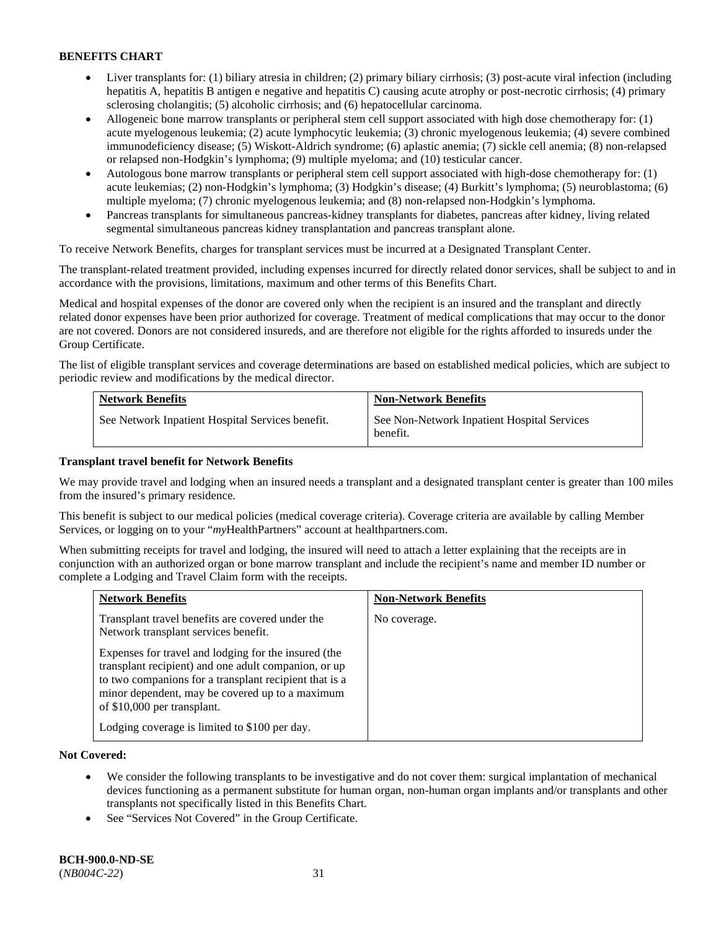- Liver transplants for: (1) biliary atresia in children; (2) primary biliary cirrhosis; (3) post-acute viral infection (including hepatitis A, hepatitis B antigen e negative and hepatitis C) causing acute atrophy or post-necrotic cirrhosis; (4) primary sclerosing cholangitis; (5) alcoholic cirrhosis; and (6) hepatocellular carcinoma.
- Allogeneic bone marrow transplants or peripheral stem cell support associated with high dose chemotherapy for: (1) acute myelogenous leukemia; (2) acute lymphocytic leukemia; (3) chronic myelogenous leukemia; (4) severe combined immunodeficiency disease; (5) Wiskott-Aldrich syndrome; (6) aplastic anemia; (7) sickle cell anemia; (8) non-relapsed or relapsed non-Hodgkin's lymphoma; (9) multiple myeloma; and (10) testicular cancer.
- Autologous bone marrow transplants or peripheral stem cell support associated with high-dose chemotherapy for: (1) acute leukemias; (2) non-Hodgkin's lymphoma; (3) Hodgkin's disease; (4) Burkitt's lymphoma; (5) neuroblastoma; (6) multiple myeloma; (7) chronic myelogenous leukemia; and (8) non-relapsed non-Hodgkin's lymphoma.
- Pancreas transplants for simultaneous pancreas-kidney transplants for diabetes, pancreas after kidney, living related segmental simultaneous pancreas kidney transplantation and pancreas transplant alone.

To receive Network Benefits, charges for transplant services must be incurred at a Designated Transplant Center.

The transplant-related treatment provided, including expenses incurred for directly related donor services, shall be subject to and in accordance with the provisions, limitations, maximum and other terms of this Benefits Chart.

Medical and hospital expenses of the donor are covered only when the recipient is an insured and the transplant and directly related donor expenses have been prior authorized for coverage. Treatment of medical complications that may occur to the donor are not covered. Donors are not considered insureds, and are therefore not eligible for the rights afforded to insureds under the Group Certificate.

The list of eligible transplant services and coverage determinations are based on established medical policies, which are subject to periodic review and modifications by the medical director.

| <b>Network Benefits</b>                          | <b>Non-Network Benefits</b>                             |
|--------------------------------------------------|---------------------------------------------------------|
| See Network Inpatient Hospital Services benefit. | See Non-Network Inpatient Hospital Services<br>benefit. |

# **Transplant travel benefit for Network Benefits**

We may provide travel and lodging when an insured needs a transplant and a designated transplant center is greater than 100 miles from the insured's primary residence.

This benefit is subject to our medical policies (medical coverage criteria). Coverage criteria are available by calling Member Services, or logging on to your "*my*HealthPartners" account a[t healthpartners.com.](http://healthpartners.com/)

When submitting receipts for travel and lodging, the insured will need to attach a letter explaining that the receipts are in conjunction with an authorized organ or bone marrow transplant and include the recipient's name and member ID number or complete a Lodging and Travel Claim form with the receipts.

| <b>Network Benefits</b>                                                                                                                                                                                                                                  | <b>Non-Network Benefits</b> |
|----------------------------------------------------------------------------------------------------------------------------------------------------------------------------------------------------------------------------------------------------------|-----------------------------|
| Transplant travel benefits are covered under the<br>Network transplant services benefit.                                                                                                                                                                 | No coverage.                |
| Expenses for travel and lodging for the insured (the<br>transplant recipient) and one adult companion, or up<br>to two companions for a transplant recipient that is a<br>minor dependent, may be covered up to a maximum<br>of \$10,000 per transplant. |                             |
| Lodging coverage is limited to \$100 per day.                                                                                                                                                                                                            |                             |

### **Not Covered:**

- We consider the following transplants to be investigative and do not cover them: surgical implantation of mechanical devices functioning as a permanent substitute for human organ, non-human organ implants and/or transplants and other transplants not specifically listed in this Benefits Chart.
- See "Services Not Covered" in the Group Certificate.